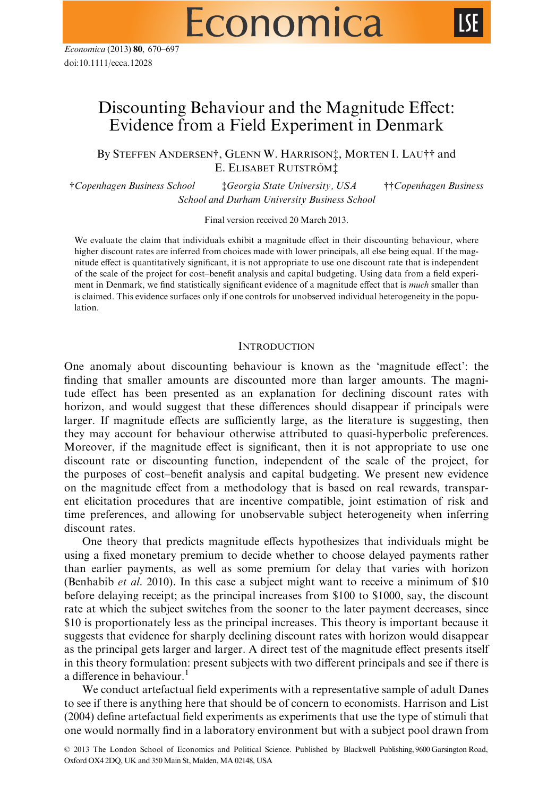Economica (2013) 80, 670–697 doi:10.1111/ecca.12028

# Discounting Behaviour and the Magnitude Effect: Evidence from a Field Experiment in Denmark

Economica

By STEFFEN ANDERSEN†, GLENN W. HARRISON‡, MORTEN I. LAU†† and E. ELISABET RUTSTRÖMİ

†Copenhagen Business School ‡Georgia State University, USA ††Copenhagen Business School and Durham University Business School

Final version received 20 March 2013.

We evaluate the claim that individuals exhibit a magnitude effect in their discounting behaviour, where higher discount rates are inferred from choices made with lower principals, all else being equal. If the magnitude effect is quantitatively significant, it is not appropriate to use one discount rate that is independent of the scale of the project for cost–benefit analysis and capital budgeting. Using data from a field experiment in Denmark, we find statistically significant evidence of a magnitude effect that is *much* smaller than is claimed. This evidence surfaces only if one controls for unobserved individual heterogeneity in the population.

#### **INTRODUCTION**

One anomaly about discounting behaviour is known as the 'magnitude effect': the finding that smaller amounts are discounted more than larger amounts. The magnitude effect has been presented as an explanation for declining discount rates with horizon, and would suggest that these differences should disappear if principals were larger. If magnitude effects are sufficiently large, as the literature is suggesting, then they may account for behaviour otherwise attributed to quasi-hyperbolic preferences. Moreover, if the magnitude effect is significant, then it is not appropriate to use one discount rate or discounting function, independent of the scale of the project, for the purposes of cost–benefit analysis and capital budgeting. We present new evidence on the magnitude effect from a methodology that is based on real rewards, transparent elicitation procedures that are incentive compatible, joint estimation of risk and time preferences, and allowing for unobservable subject heterogeneity when inferring discount rates.

One theory that predicts magnitude effects hypothesizes that individuals might be using a fixed monetary premium to decide whether to choose delayed payments rather than earlier payments, as well as some premium for delay that varies with horizon (Benhabib et al. 2010). In this case a subject might want to receive a minimum of \$10 before delaying receipt; as the principal increases from \$100 to \$1000, say, the discount rate at which the subject switches from the sooner to the later payment decreases, since \$10 is proportionately less as the principal increases. This theory is important because it suggests that evidence for sharply declining discount rates with horizon would disappear as the principal gets larger and larger. A direct test of the magnitude effect presents itself in this theory formulation: present subjects with two different principals and see if there is a difference in behaviour.<sup>1</sup>

We conduct artefactual field experiments with a representative sample of adult Danes to see if there is anything here that should be of concern to economists. Harrison and List (2004) define artefactual field experiments as experiments that use the type of stimuli that one would normally find in a laboratory environment but with a subject pool drawn from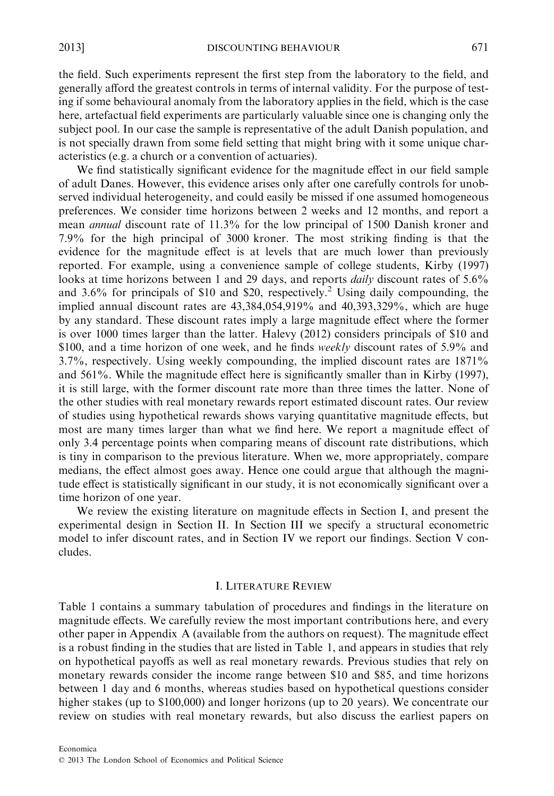the field. Such experiments represent the first step from the laboratory to the field, and generally afford the greatest controls in terms of internal validity. For the purpose of testing if some behavioural anomaly from the laboratory applies in the field, which is the case here, artefactual field experiments are particularly valuable since one is changing only the subject pool. In our case the sample is representative of the adult Danish population, and is not specially drawn from some field setting that might bring with it some unique characteristics (e.g. a church or a convention of actuaries).

We find statistically significant evidence for the magnitude effect in our field sample of adult Danes. However, this evidence arises only after one carefully controls for unobserved individual heterogeneity, and could easily be missed if one assumed homogeneous preferences. We consider time horizons between 2 weeks and 12 months, and report a mean annual discount rate of 11.3% for the low principal of 1500 Danish kroner and 7.9% for the high principal of 3000 kroner. The most striking finding is that the evidence for the magnitude effect is at levels that are much lower than previously reported. For example, using a convenience sample of college students, Kirby (1997) looks at time horizons between 1 and 29 days, and reports *daily* discount rates of 5.6% and 3.6% for principals of \$10 and \$20, respectively.<sup>2</sup> Using daily compounding, the implied annual discount rates are 43,384,054,919% and 40,393,329%, which are huge by any standard. These discount rates imply a large magnitude effect where the former is over 1000 times larger than the latter. Halevy (2012) considers principals of \$10 and \$100, and a time horizon of one week, and he finds weekly discount rates of 5.9% and 3.7%, respectively. Using weekly compounding, the implied discount rates are 1871% and 561%. While the magnitude effect here is significantly smaller than in Kirby (1997), it is still large, with the former discount rate more than three times the latter. None of the other studies with real monetary rewards report estimated discount rates. Our review of studies using hypothetical rewards shows varying quantitative magnitude effects, but most are many times larger than what we find here. We report a magnitude effect of only 3.4 percentage points when comparing means of discount rate distributions, which is tiny in comparison to the previous literature. When we, more appropriately, compare medians, the effect almost goes away. Hence one could argue that although the magnitude effect is statistically significant in our study, it is not economically significant over a time horizon of one year.

We review the existing literature on magnitude effects in Section I, and present the experimental design in Section II. In Section III we specify a structural econometric model to infer discount rates, and in Section IV we report our findings. Section V concludes.

#### I. LITERATURE REVIEW

Table 1 contains a summary tabulation of procedures and findings in the literature on magnitude effects. We carefully review the most important contributions here, and every other paper in Appendix A (available from the authors on request). The magnitude effect is a robust finding in the studies that are listed in Table 1, and appears in studies that rely on hypothetical payoffs as well as real monetary rewards. Previous studies that rely on monetary rewards consider the income range between \$10 and \$85, and time horizons between 1 day and 6 months, whereas studies based on hypothetical questions consider higher stakes (up to \$100,000) and longer horizons (up to 20 years). We concentrate our review on studies with real monetary rewards, but also discuss the earliest papers on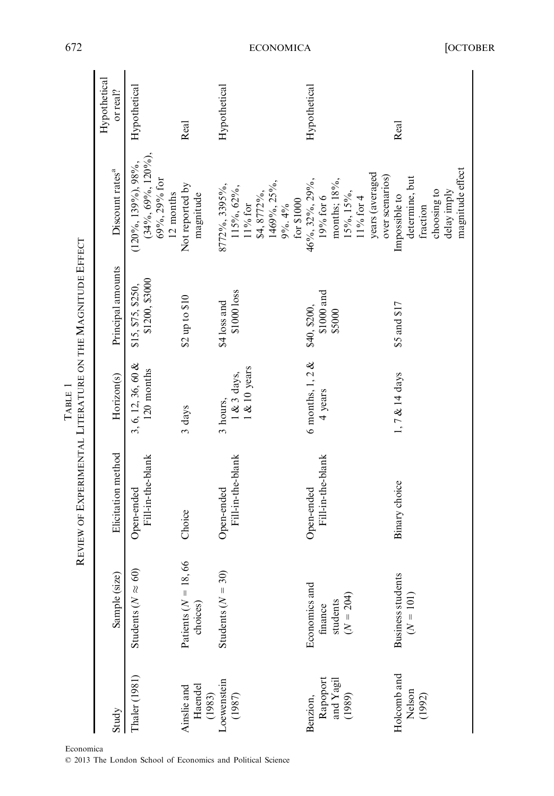|                                             |                                                       | REVIEW OF EXPERIMENTAL LITERATURE ON THE MAGNITUDE EFFECT | TABLE                                      |                                       |                                                                                                                                           |                          |
|---------------------------------------------|-------------------------------------------------------|-----------------------------------------------------------|--------------------------------------------|---------------------------------------|-------------------------------------------------------------------------------------------------------------------------------------------|--------------------------|
| Study                                       | Sample (size)                                         | Elicitation method                                        | Horizon(s)                                 | Principal amounts                     | Discount rates <sup>a</sup>                                                                                                               | Hypothetical<br>or real? |
| Thaler (1981)                               | Students ( $N \approx 60$ )                           | Fill-in-the-blank<br>Open-ended                           | $3, 6, 12, 36, 60$ & $120$ months          | \$1200, \$3000<br>\$15, \$75, \$250,  | $(34\%, 69\%, 120\%),$<br>$69\%, 29\%$ for<br>$(120\%, 139\%)$ , 98%,<br>12 months                                                        | Hypothetical             |
| Ainslie and<br>Haendel<br>(1983)            | Patients ( $N = 18, 66$<br>choices)                   | Choice                                                    | 3 days                                     | \$2 up to \$10                        | Not reported by<br>magnitude                                                                                                              | Real                     |
| Loewenstein<br>(1987)                       | Students ( $N = 30$ )                                 | Fill-in-the-blank<br>Open-ended                           | $1 \& 10$ years<br>1 & 3 days,<br>3 hours, | \$10001oss<br>\$4 loss and            | $1469\%, 25\%,$<br>8772%, 3395%,<br>115%, 62%,<br>\$4, 8772%,<br>$11\%$ for<br>$9\% . 4\%$                                                | Hypothetical             |
| Rapoport<br>and Yagil<br>(1989)<br>Benzion, | Economics and<br>students<br>( $N = 204$ )<br>finance | Fill-in-the-blank<br>Open-ended                           | 6 months, $1, 2 &$<br>4 years              | $$1000$ and<br>\$40, \$200,<br>\$5000 | years (averaged<br>over scenarios)<br>for \$1000<br>46%, $32\%$ , $29\%$ ,<br>months; $18\%$ ,<br>$15\%, 15\%,$<br>11% for 4<br>19% for 6 | Hypothetical             |
| Holcomb and<br>Nelson<br>(1992)             | Š<br><b>Business student</b><br>$(N = 101)$           | Binary choice                                             | 1, 7 & 14 days                             | \$5 and \$17                          | magnitude effect<br>determine, but<br>choosing to<br>delay imply<br>Impossible to<br>fraction                                             | Real                     |

Economica © 2013 The London School of Economics and Political Science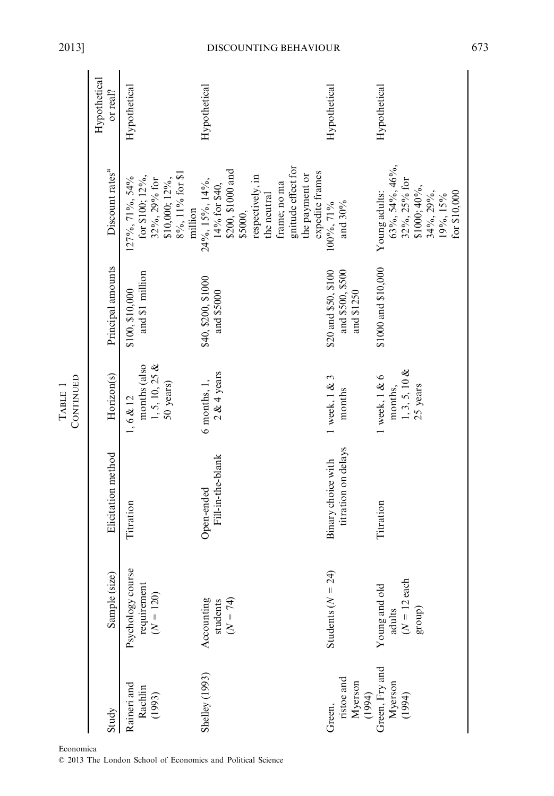|                                                                         |                                                             |                                           | CONTINUED                                                          |                                                        |                                                                                                                                                                                              |                          |
|-------------------------------------------------------------------------|-------------------------------------------------------------|-------------------------------------------|--------------------------------------------------------------------|--------------------------------------------------------|----------------------------------------------------------------------------------------------------------------------------------------------------------------------------------------------|--------------------------|
| Study                                                                   | Sample (size)                                               | Elicitation method                        | Horizon(s)                                                         | Principal amounts                                      | Discount rates <sup>a</sup>                                                                                                                                                                  | Hypothetical<br>or real? |
| Raineri and<br>Rachlin<br>(1993)                                        | Psychology course<br>requirement<br>$(N = 120)$             | Titration                                 | months (also<br>$1, 5, 10, 25 \&$<br>50 years)<br>1, 6 & 12        | and \$1 million<br>\$100, \$10,000                     | $$10,000; 12\%$ ,<br>$8\%$ , $11\%$ for \$1<br>for \$100; 12%, 32%, 29% for<br>127%, 71%, 54%<br>million                                                                                     | Hypothetical             |
| Shelley (1993)                                                          | Accounting<br>students<br>$(N = 74)$                        | Fill-in-the-blank<br>Open-ended           | $2 & 4$ years<br>6 months, 1,                                      | \$40, \$200, \$1000<br>and \$5000                      | gnitude effect for<br>\$200, \$1000 and<br>expedite frames<br>the payment or<br>respectively, in<br>$24\%$ , $15\%$ , $14\%$ ,<br>$14\%$ for \$40,<br>frame; no ma<br>the neutral<br>\$5000, | Hypothetical             |
| Green,                                                                  | Students ( $N = 24$ )                                       | titration on delays<br>Binary choice with | $1$ week, $1 \& 3$<br>months                                       | and \$500, \$500<br>\$20 and \$50, \$100<br>and \$1250 | and $30\%$<br>100%, 71%                                                                                                                                                                      | Hypothetical             |
| ristoe and<br>Myerson<br>(1994)<br>Green, Fry and<br>Myerson<br>Myerson | adults<br>$(N = 12 \text{ each}$<br>group)<br>Young and old | Titration                                 | $1, 3, 5, 10 \& 25 \text{ years}$<br>$1$ week, $1 \& 6$<br>months, | \$1000 and \$10,000                                    | $63\%$ , 54%, 46%,<br>$32\%$ , $25\%$ for<br>\$1000; 40%,<br>$34\%, 29\%$ ,<br>for \$10,000<br>Young adults:<br>19%, 15%                                                                     | Hypothetical             |

Economica © 2013 The London School of Economics and Political Science

TABLE 1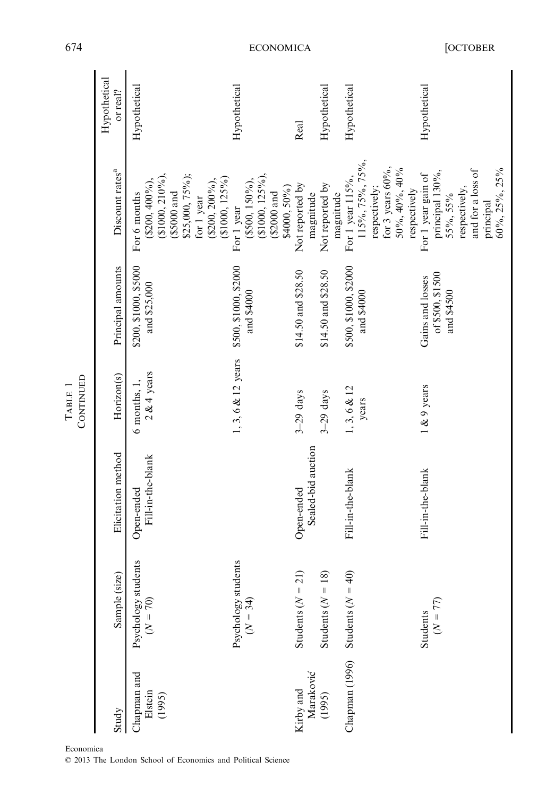|                                  |                                   |                                  | CONTINUED<br>TABLE 1          |                                                    |                                                                                                                                               |                          |
|----------------------------------|-----------------------------------|----------------------------------|-------------------------------|----------------------------------------------------|-----------------------------------------------------------------------------------------------------------------------------------------------|--------------------------|
| Study                            | Sample (size)                     | Elicitation method               | Horizon(s)                    | Principal amounts                                  | Discount rates <sup>a</sup>                                                                                                                   | Hypothetical<br>or real? |
| Chapman and<br>Elstein<br>(1995) | Psychology students<br>$(N = 70)$ | Fill-in-the-blank<br>Open-ended  | $2 & 4$ years<br>6 months, 1, | \$200, \$1000, \$5000<br>and \$25,000              | \$25,000, 75%);<br>$(S1000, 210\%)$<br>$(S1000, 125\%)$<br>$(S200, 400\%)$<br>$(S200, 200\%)$<br>For 6 months<br>$($ \$5000 and<br>for 1 year | Hypothetical             |
|                                  | Psychology students<br>$(N = 34)$ |                                  | $1, 3, 6$ & 12 years          | \$500, \$1000, \$2000<br>and \$4000                | $(S1000, 125\%)$<br>$(S500, 150\%)$<br>\$4000, 50%)<br>$($ \$2000 and<br>For 1 year                                                           | Hypothetical             |
| Kirby and                        | Students ( $N = 21$               | Sealed-bid auction<br>Open-ended | $3-29$ days                   | \$14.50 and \$28.50                                | Not reported by<br>magnitude                                                                                                                  | Real                     |
| Maraković<br>(1995)              | Students ( $N = 18$ )             |                                  | $3-29$ days                   | \$14.50 and \$28.50                                | Not reported by<br>magnitude                                                                                                                  | Hypothetical             |
| Chapman (1996)                   | Students $(N = 40)$               | Fill-in-the-blank                | 1, 3, 6 & 12<br>years         | \$500, \$1000, \$2000<br>and \$4000                | 115%, 75%, 75%,<br>For 1 year 115%,                                                                                                           | Hypothetical             |
|                                  |                                   |                                  |                               |                                                    | for 3 years $60\%$ ,<br>$50\%$ , $40\%$ , $40\%$<br>respectively;<br>respectively                                                             |                          |
|                                  | $(N = 77)$<br>Students            | Fill-in-the-blank                | 1 & 9 years                   | of \$500, \$1500<br>Gains and losses<br>and \$4500 | and for a loss of<br>principal 130%,<br>For 1 year gain of<br>respectively,<br>55%, 55%<br>principal                                          | Hypothetical             |
|                                  |                                   |                                  |                               |                                                    | 60%, 25%, 25%                                                                                                                                 |                          |

Economica © 2013 The London School of Economics and Political Science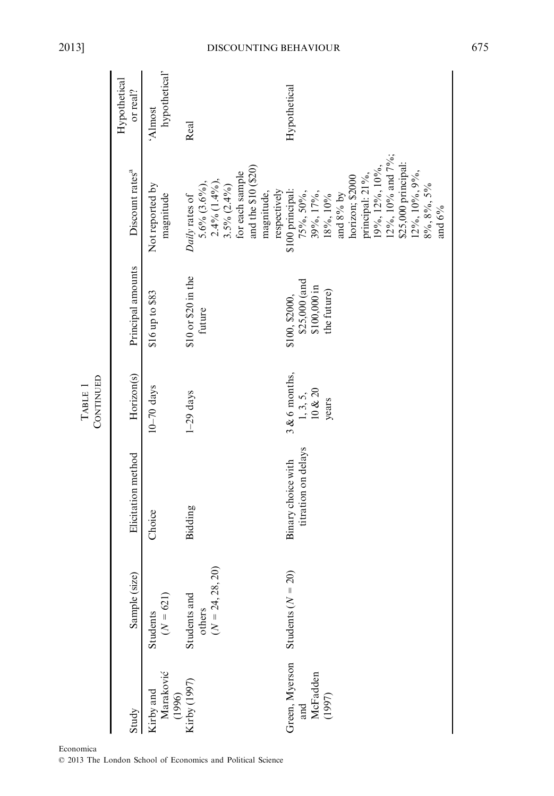|                                  |                                              |                     | CONTINUED<br>TABLE 1           |                                                                |                                                                                                                                                                                                                                                       |                          |
|----------------------------------|----------------------------------------------|---------------------|--------------------------------|----------------------------------------------------------------|-------------------------------------------------------------------------------------------------------------------------------------------------------------------------------------------------------------------------------------------------------|--------------------------|
| Study                            | Sample (size)                                | Elicitation method  | Horizon(s)                     | Principal amounts                                              | Discount rates <sup>a</sup>                                                                                                                                                                                                                           | Hypothetical<br>or real? |
| Kirby and<br>Maraković<br>(1996) | $(N = 621)$<br>Students                      | Choice              | $10 - 70$ days                 | \$16 up to \$83                                                | Not reported by<br>magnitude                                                                                                                                                                                                                          | hypothetical'<br>Almost  |
| Kirby (1997)                     | $(N = 24, 28, 20)$<br>Students and<br>others | Bidding             | $1-29$ days                    | \$10 or \$20 in the<br>future                                  | and the \$10 (\$20)<br>for each sample<br>$2.4\%$ (1.4%),<br>$5.6\%$ $(3.6\%)$ ,<br>$3.5\% (2.4\%)$<br>Daily rates of                                                                                                                                 | Real                     |
| Green, Myerson                   | Students ( $N = 20$ )                        | Binary choice with  | 3 & 6 months,                  |                                                                | respectively<br>magnitude,                                                                                                                                                                                                                            | Hypothetical             |
| McFadden<br>(1997)<br>ad         |                                              | titration on delays | $1, 3, 5,$<br>10 & 20<br>years | \$100, \$2000,<br>\$25,000 (and<br>\$100,000 in<br>the future) | 12%, 10% and 7%;<br>\$25,000 principal:<br>principal: 21%,<br>19%, 12%, 10%,<br>$\frac{12\%}{8\%}\frac{10\%}{5\%}\frac{9\%}{5\%}$<br>horizon; \$2000<br>$$100$ principal:<br>$75\%, 50\%,$<br>and $8\%$ by<br>$39\%, 17\%$ ,<br>18%, 10%<br>and $6\%$ |                          |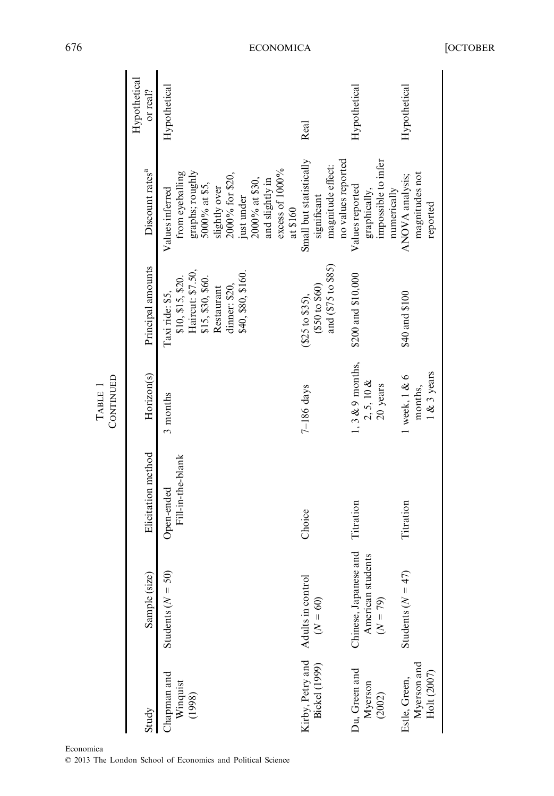|                                             |                                                        |                                 | CONTINUED<br>TABLE                              |                                                                                                                                    |                                                                                                                                                                                              |                          |
|---------------------------------------------|--------------------------------------------------------|---------------------------------|-------------------------------------------------|------------------------------------------------------------------------------------------------------------------------------------|----------------------------------------------------------------------------------------------------------------------------------------------------------------------------------------------|--------------------------|
| Study                                       | Sample (size)                                          | Elicitation method              | Horizon(s)                                      | Principal amounts                                                                                                                  | Discount rates <sup>a</sup>                                                                                                                                                                  | Hypothetical<br>or real? |
| Chapman and<br>Winquist<br>(1998)           | Students $(N = 50)$                                    | Fill-in-the-blank<br>Open-ended | 3 months                                        | Haircut: \$7.50,<br>\$40, \$80, \$160.<br>\$10, \$15, \$20.<br>\$15, \$30, \$60.<br>dinner: \$20,<br>Restaurant<br>Taxi ride: \$5, | excess of 1000%<br>graphs; roughly<br>from eyeballing<br>slightly over<br>2000% for \$20,<br>2000% at \$30,<br>and slightly in<br>5000% at \$5,<br>Values inferred<br>just under<br>at \$160 | Hypothetical             |
| Kirby, Petry and<br><b>Bickel</b> (1999)    | Adults in contro<br>$(N = 60)$                         | Choice                          | $7 - 186$ days                                  | and (\$75 to \$85)<br>$($ \$50 to \$60)<br>(\$25 to \$35),                                                                         | Small but statistically<br>no values reported<br>magnitude effect:<br>significant                                                                                                            | Real                     |
| Du, Green and<br>Myerson<br>(2002)          | Chinese, Japanese and<br>American students<br>$(N=79)$ | Titration                       | $1, 3 & 9$ months,<br>$2, 5, 10 \&$<br>20 years | \$200 and \$10,000                                                                                                                 | impossible to infer<br>Values reported<br>numerically<br>graphically,                                                                                                                        | Hypothetical             |
| Myerson and<br>Holt (2007)<br>Estle, Green, | Students $(N = 47)$                                    | Titration                       | $1 & 3$ years<br>$1$ week, $1 & 6$<br>months,   | \$40 and \$100                                                                                                                     | magnitudes not<br>ANOVA analysis;<br>reported                                                                                                                                                | Hypothetical             |

Economica © 2013 The London School of Economics and Political Science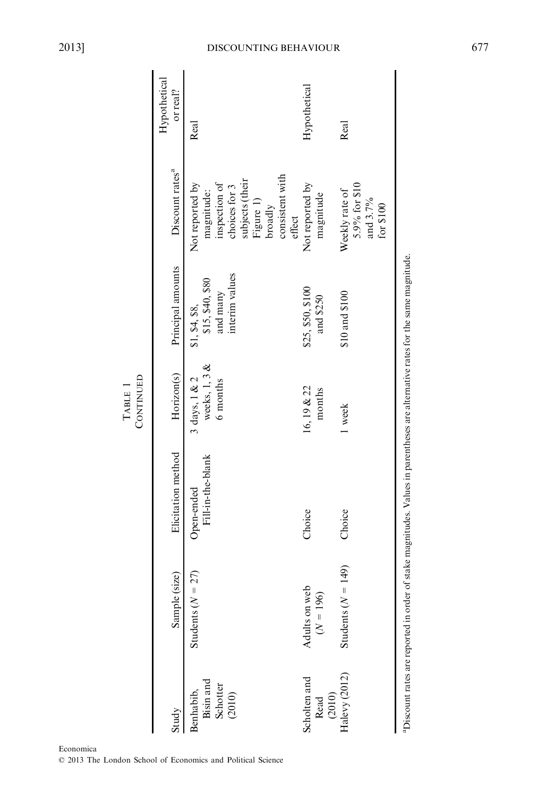|                                              |                                          |                                                                                       | CONTINUED<br>TABLE 1                                |                                                                |                                                                                                                               |                          |
|----------------------------------------------|------------------------------------------|---------------------------------------------------------------------------------------|-----------------------------------------------------|----------------------------------------------------------------|-------------------------------------------------------------------------------------------------------------------------------|--------------------------|
| Study                                        | Sample (size)                            | Elicitation method                                                                    | Horizon(s)                                          | Principal amounts                                              | Discount rates <sup>a</sup>                                                                                                   | Hypothetical<br>or real? |
| Bisin and<br>Schotter<br>(2010)<br>Benhabib, | Students $(N = 27)$                      | Fill-in-the-blank<br>Open-ended                                                       | weeks, $1, 3 &$<br>$3$ days, $1 \& 2$<br>$6$ months | interim values<br>$$1, $4, $8,$<br>$$15, $40, $80$<br>and many | consistent with<br>subjects (their<br>Not reported by<br>inspection of<br>choices for 3<br>magnitude:<br>Figure 1)<br>broadly | Real                     |
| Scholten and<br>(2010)<br>Read               | Adults on web<br>$(N=196)$               | Choice                                                                                | 16, 19 & 22<br>months                               | \$25, \$50, \$100<br>and \$250                                 | Not reported by<br>magnitude<br>effect                                                                                        | Hypothetical             |
| Halevy (2012)                                | Students $(N = 149)$                     | Choice                                                                                | week                                                | \$10 and \$100                                                 | 5.9% for \$10<br>Weekly rate of<br>and 3.7%<br>for \$100                                                                      | Real                     |
|                                              | aDiscount rates are reported in order of | stake magnitudes. Values in parentheses are alternative rates for the same magnitude. |                                                     |                                                                |                                                                                                                               |                          |

| Economica |  |  |                                                             |  |  |
|-----------|--|--|-------------------------------------------------------------|--|--|
|           |  |  | © 2013 The London School of Economics and Political Science |  |  |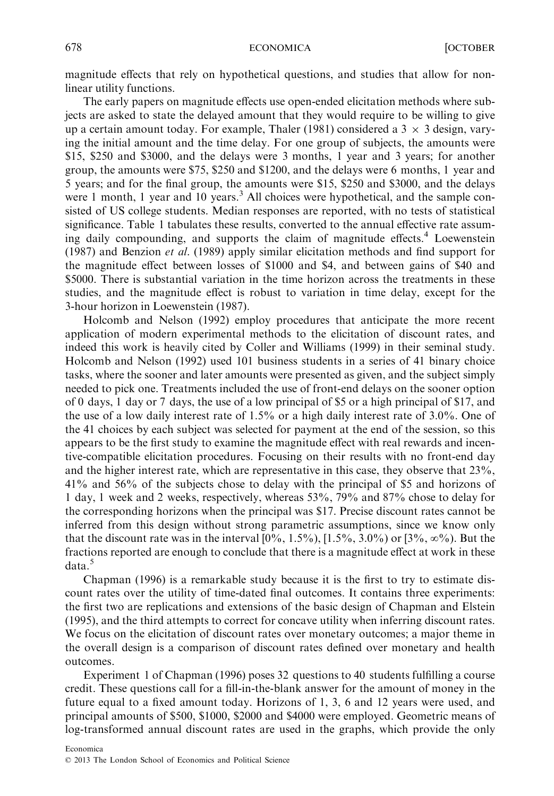magnitude effects that rely on hypothetical questions, and studies that allow for nonlinear utility functions.

The early papers on magnitude effects use open-ended elicitation methods where subjects are asked to state the delayed amount that they would require to be willing to give up a certain amount today. For example, Thaler (1981) considered a  $3 \times 3$  design, varying the initial amount and the time delay. For one group of subjects, the amounts were \$15, \$250 and \$3000, and the delays were 3 months, 1 year and 3 years; for another group, the amounts were \$75, \$250 and \$1200, and the delays were 6 months, 1 year and 5 years; and for the final group, the amounts were \$15, \$250 and \$3000, and the delays were 1 month, 1 year and 10 years.<sup>3</sup> All choices were hypothetical, and the sample consisted of US college students. Median responses are reported, with no tests of statistical significance. Table 1 tabulates these results, converted to the annual effective rate assuming daily compounding, and supports the claim of magnitude effects.<sup>4</sup> Loewenstein (1987) and Benzion et al. (1989) apply similar elicitation methods and find support for the magnitude effect between losses of \$1000 and \$4, and between gains of \$40 and \$5000. There is substantial variation in the time horizon across the treatments in these studies, and the magnitude effect is robust to variation in time delay, except for the 3-hour horizon in Loewenstein (1987).

Holcomb and Nelson (1992) employ procedures that anticipate the more recent application of modern experimental methods to the elicitation of discount rates, and indeed this work is heavily cited by Coller and Williams (1999) in their seminal study. Holcomb and Nelson (1992) used 101 business students in a series of 41 binary choice tasks, where the sooner and later amounts were presented as given, and the subject simply needed to pick one. Treatments included the use of front-end delays on the sooner option of 0 days, 1 day or 7 days, the use of a low principal of \$5 or a high principal of \$17, and the use of a low daily interest rate of 1.5% or a high daily interest rate of 3.0%. One of the 41 choices by each subject was selected for payment at the end of the session, so this appears to be the first study to examine the magnitude effect with real rewards and incentive-compatible elicitation procedures. Focusing on their results with no front-end day and the higher interest rate, which are representative in this case, they observe that 23%, 41% and 56% of the subjects chose to delay with the principal of \$5 and horizons of 1 day, 1 week and 2 weeks, respectively, whereas 53%, 79% and 87% chose to delay for the corresponding horizons when the principal was \$17. Precise discount rates cannot be inferred from this design without strong parametric assumptions, since we know only that the discount rate was in the interval  $[0\%, 1.5\%, 1.5\%, 3.0\%]$  or  $[3\%, \infty\%]$ . But the fractions reported are enough to conclude that there is a magnitude effect at work in these data.<sup>5</sup>

Chapman (1996) is a remarkable study because it is the first to try to estimate discount rates over the utility of time-dated final outcomes. It contains three experiments: the first two are replications and extensions of the basic design of Chapman and Elstein (1995), and the third attempts to correct for concave utility when inferring discount rates. We focus on the elicitation of discount rates over monetary outcomes; a major theme in the overall design is a comparison of discount rates defined over monetary and health outcomes.

Experiment 1 of Chapman (1996) poses 32 questions to 40 students fulfilling a course credit. These questions call for a fill-in-the-blank answer for the amount of money in the future equal to a fixed amount today. Horizons of 1, 3, 6 and 12 years were used, and principal amounts of \$500, \$1000, \$2000 and \$4000 were employed. Geometric means of log-transformed annual discount rates are used in the graphs, which provide the only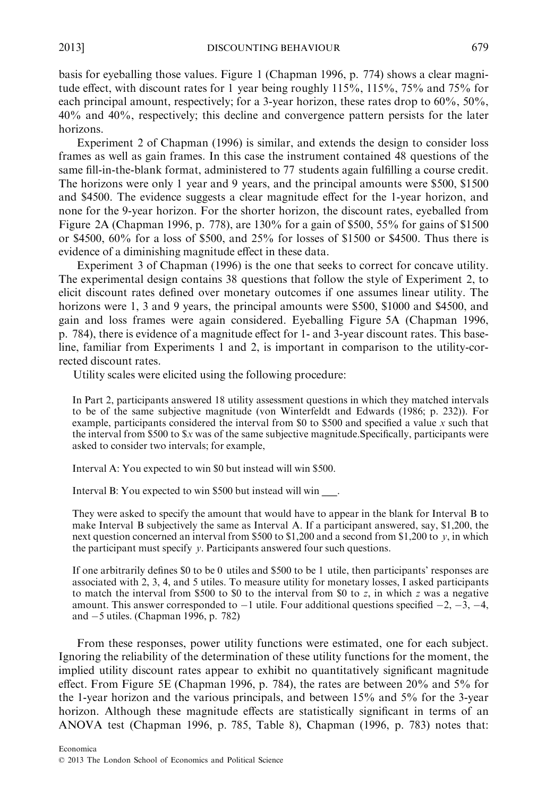basis for eyeballing those values. Figure 1 (Chapman 1996, p. 774) shows a clear magnitude effect, with discount rates for 1 year being roughly 115%, 115%, 75% and 75% for each principal amount, respectively; for a 3-year horizon, these rates drop to 60%, 50%, 40% and 40%, respectively; this decline and convergence pattern persists for the later horizons.

Experiment 2 of Chapman (1996) is similar, and extends the design to consider loss frames as well as gain frames. In this case the instrument contained 48 questions of the same fill-in-the-blank format, administered to 77 students again fulfilling a course credit. The horizons were only 1 year and 9 years, and the principal amounts were \$500, \$1500 and \$4500. The evidence suggests a clear magnitude effect for the 1-year horizon, and none for the 9-year horizon. For the shorter horizon, the discount rates, eyeballed from Figure 2A (Chapman 1996, p. 778), are 130% for a gain of \$500, 55% for gains of \$1500 or \$4500, 60% for a loss of \$500, and 25% for losses of \$1500 or \$4500. Thus there is evidence of a diminishing magnitude effect in these data.

Experiment 3 of Chapman (1996) is the one that seeks to correct for concave utility. The experimental design contains 38 questions that follow the style of Experiment 2, to elicit discount rates defined over monetary outcomes if one assumes linear utility. The horizons were 1, 3 and 9 years, the principal amounts were \$500, \$1000 and \$4500, and gain and loss frames were again considered. Eyeballing Figure 5A (Chapman 1996, p. 784), there is evidence of a magnitude effect for 1- and 3-year discount rates. This baseline, familiar from Experiments 1 and 2, is important in comparison to the utility-corrected discount rates.

Utility scales were elicited using the following procedure:

In Part 2, participants answered 18 utility assessment questions in which they matched intervals to be of the same subjective magnitude (von Winterfeldt and Edwards (1986; p. 232)). For example, participants considered the interval from \$0 to \$500 and specified a value x such that the interval from \$500 to  $x$  was of the same subjective magnitude. Specifically, participants were asked to consider two intervals; for example,

Interval A: You expected to win \$0 but instead will win \$500.

Interval B: You expected to win \$500 but instead will win \_\_\_.

They were asked to specify the amount that would have to appear in the blank for Interval B to make Interval B subjectively the same as Interval A. If a participant answered, say, \$1,200, the next question concerned an interval from \$500 to \$1,200 and a second from \$1,200 to y, in which the participant must specify y. Participants answered four such questions.

If one arbitrarily defines \$0 to be 0 utiles and \$500 to be 1 utile, then participants' responses are associated with 2, 3, 4, and 5 utiles. To measure utility for monetary losses, I asked participants to match the interval from \$500 to \$0 to the interval from \$0 to z, in which z was a negative amount. This answer corresponded to  $-1$  utile. Four additional questions specified  $-2$ ,  $-3$ ,  $-4$ , and  $-5$  utiles. (Chapman 1996, p. 782)

From these responses, power utility functions were estimated, one for each subject. Ignoring the reliability of the determination of these utility functions for the moment, the implied utility discount rates appear to exhibit no quantitatively significant magnitude effect. From Figure 5E (Chapman 1996, p. 784), the rates are between 20% and 5% for the 1-year horizon and the various principals, and between 15% and 5% for the 3-year horizon. Although these magnitude effects are statistically significant in terms of an ANOVA test (Chapman 1996, p. 785, Table 8), Chapman (1996, p. 783) notes that: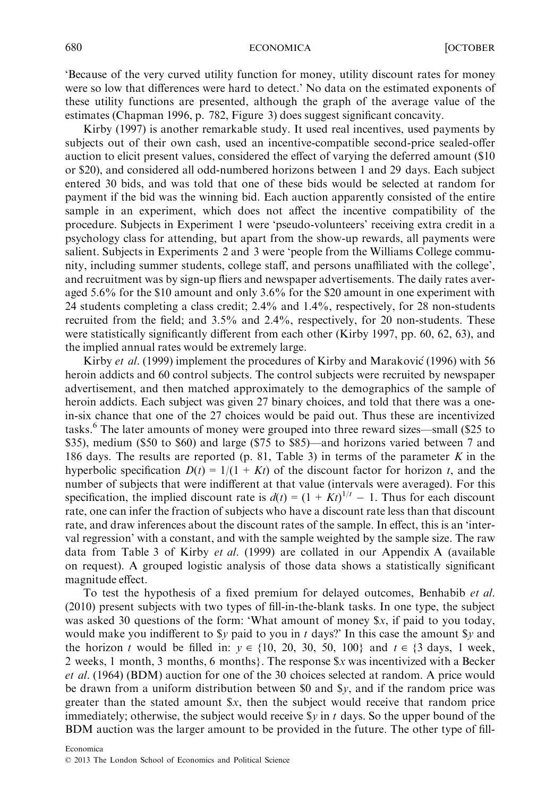'Because of the very curved utility function for money, utility discount rates for money were so low that differences were hard to detect.' No data on the estimated exponents of these utility functions are presented, although the graph of the average value of the estimates (Chapman 1996, p. 782, Figure 3) does suggest significant concavity.

Kirby (1997) is another remarkable study. It used real incentives, used payments by subjects out of their own cash, used an incentive-compatible second-price sealed-offer auction to elicit present values, considered the effect of varying the deferred amount (\$10 or \$20), and considered all odd-numbered horizons between 1 and 29 days. Each subject entered 30 bids, and was told that one of these bids would be selected at random for payment if the bid was the winning bid. Each auction apparently consisted of the entire sample in an experiment, which does not affect the incentive compatibility of the procedure. Subjects in Experiment 1 were 'pseudo-volunteers' receiving extra credit in a psychology class for attending, but apart from the show-up rewards, all payments were salient. Subjects in Experiments 2 and 3 were 'people from the Williams College community, including summer students, college staff, and persons unaffiliated with the college', and recruitment was by sign-up fliers and newspaper advertisements. The daily rates averaged 5.6% for the \$10 amount and only 3.6% for the \$20 amount in one experiment with 24 students completing a class credit; 2.4% and 1.4%, respectively, for 28 non-students recruited from the field; and 3.5% and 2.4%, respectively, for 20 non-students. These were statistically significantly different from each other (Kirby 1997, pp. 60, 62, 63), and the implied annual rates would be extremely large.

Kirby et al. (1999) implement the procedures of Kirby and Maraković (1996) with 56 heroin addicts and 60 control subjects. The control subjects were recruited by newspaper advertisement, and then matched approximately to the demographics of the sample of heroin addicts. Each subject was given 27 binary choices, and told that there was a onein-six chance that one of the 27 choices would be paid out. Thus these are incentivized tasks.<sup>6</sup> The later amounts of money were grouped into three reward sizes—small (\$25 to \$35), medium (\$50 to \$60) and large (\$75 to \$85)—and horizons varied between 7 and 186 days. The results are reported (p. 81, Table 3) in terms of the parameter  $K$  in the hyperbolic specification  $D(t) = 1/(1 + Kt)$  of the discount factor for horizon t, and the number of subjects that were indifferent at that value (intervals were averaged). For this specification, the implied discount rate is  $d(t) = (1 + Kt)^{1/t} - 1$ . Thus for each discount rate, one can infer the fraction of subjects who have a discount rate less than that discount rate, and draw inferences about the discount rates of the sample. In effect, this is an 'interval regression' with a constant, and with the sample weighted by the sample size. The raw data from Table 3 of Kirby et al. (1999) are collated in our Appendix A (available on request). A grouped logistic analysis of those data shows a statistically significant magnitude effect.

To test the hypothesis of a fixed premium for delayed outcomes, Benhabib et al. (2010) present subjects with two types of fill-in-the-blank tasks. In one type, the subject was asked 30 questions of the form: 'What amount of money \$x, if paid to you today, would make you indifferent to  $y$  paid to you in t days?' In this case the amount  $y$  and the horizon t would be filled in:  $y \in \{10, 20, 30, 50, 100\}$  and  $t \in \{3 \text{ days}, 1 \text{ week},$ 2 weeks, 1 month, 3 months, 6 months}. The response \$x was incentivized with a Becker et al. (1964) (BDM) auction for one of the 30 choices selected at random. A price would be drawn from a uniform distribution between \$0 and  $y<sub>y</sub>$ , and if the random price was greater than the stated amount  $\mathbb{S}_x$ , then the subject would receive that random price immediately; otherwise, the subject would receive  $y \in \mathcal{Y}$  in t days. So the upper bound of the BDM auction was the larger amount to be provided in the future. The other type of fill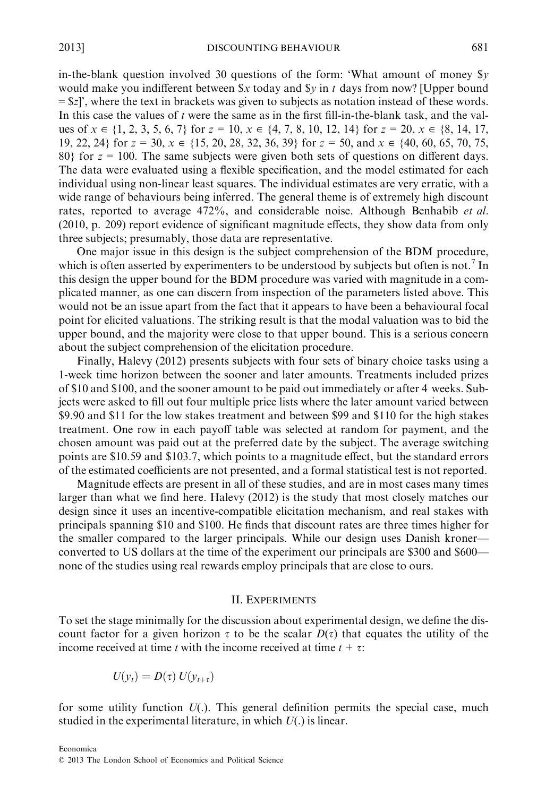in-the-blank question involved 30 questions of the form: 'What amount of money  $y_y$ would make you indifferent between  $x$  today and  $y$  in t days from now? [Upper bound  $=$   $\frac{g}{g}$ , where the text in brackets was given to subjects as notation instead of these words. In this case the values of  $t$  were the same as in the first fill-in-the-blank task, and the values of  $x \in \{1, 2, 3, 5, 6, 7\}$  for  $z = 10$ ,  $x \in \{4, 7, 8, 10, 12, 14\}$  for  $z = 20$ ,  $x \in \{8, 14, 17, 14\}$ 19, 22, 24} for  $z = 30$ ,  $x \in \{15, 20, 28, 32, 36, 39\}$  for  $z = 50$ , and  $x \in \{40, 60, 65, 70, 75,$ 80} for  $z = 100$ . The same subjects were given both sets of questions on different days. The data were evaluated using a flexible specification, and the model estimated for each individual using non-linear least squares. The individual estimates are very erratic, with a wide range of behaviours being inferred. The general theme is of extremely high discount rates, reported to average 472%, and considerable noise. Although Benhabib et al. (2010, p. 209) report evidence of significant magnitude effects, they show data from only three subjects; presumably, those data are representative.

One major issue in this design is the subject comprehension of the BDM procedure, which is often asserted by experimenters to be understood by subjects but often is not.<sup>7</sup> In this design the upper bound for the BDM procedure was varied with magnitude in a complicated manner, as one can discern from inspection of the parameters listed above. This would not be an issue apart from the fact that it appears to have been a behavioural focal point for elicited valuations. The striking result is that the modal valuation was to bid the upper bound, and the majority were close to that upper bound. This is a serious concern about the subject comprehension of the elicitation procedure.

Finally, Halevy (2012) presents subjects with four sets of binary choice tasks using a 1-week time horizon between the sooner and later amounts. Treatments included prizes of \$10 and \$100, and the sooner amount to be paid out immediately or after 4 weeks. Subjects were asked to fill out four multiple price lists where the later amount varied between \$9.90 and \$11 for the low stakes treatment and between \$99 and \$110 for the high stakes treatment. One row in each payoff table was selected at random for payment, and the chosen amount was paid out at the preferred date by the subject. The average switching points are \$10.59 and \$103.7, which points to a magnitude effect, but the standard errors of the estimated coefficients are not presented, and a formal statistical test is not reported.

Magnitude effects are present in all of these studies, and are in most cases many times larger than what we find here. Halevy (2012) is the study that most closely matches our design since it uses an incentive-compatible elicitation mechanism, and real stakes with principals spanning \$10 and \$100. He finds that discount rates are three times higher for the smaller compared to the larger principals. While our design uses Danish kroner converted to US dollars at the time of the experiment our principals are \$300 and \$600 none of the studies using real rewards employ principals that are close to ours.

# II. EXPERIMENTS

To set the stage minimally for the discussion about experimental design, we define the discount factor for a given horizon  $\tau$  to be the scalar  $D(\tau)$  that equates the utility of the income received at time t with the income received at time  $t + \tau$ .

$$
U(y_t) = D(\tau) U(y_{t+\tau})
$$

for some utility function  $U(.)$ . This general definition permits the special case, much studied in the experimental literature, in which  $U(.)$  is linear.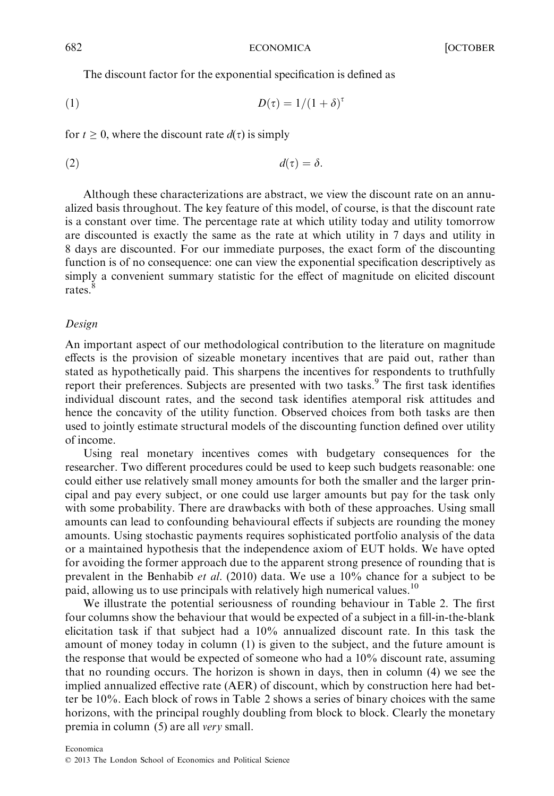The discount factor for the exponential specification is defined as

(1) 
$$
D(\tau) = 1/(1+\delta)^{\tau}
$$

for  $t \ge 0$ , where the discount rate  $d(\tau)$  is simply

$$
d(\tau) = \delta.
$$

Although these characterizations are abstract, we view the discount rate on an annualized basis throughout. The key feature of this model, of course, is that the discount rate is a constant over time. The percentage rate at which utility today and utility tomorrow are discounted is exactly the same as the rate at which utility in 7 days and utility in 8 days are discounted. For our immediate purposes, the exact form of the discounting function is of no consequence: one can view the exponential specification descriptively as simply a convenient summary statistic for the effect of magnitude on elicited discount rates.<sup>8</sup>

#### Design

An important aspect of our methodological contribution to the literature on magnitude effects is the provision of sizeable monetary incentives that are paid out, rather than stated as hypothetically paid. This sharpens the incentives for respondents to truthfully report their preferences. Subjects are presented with two tasks.<sup>9</sup> The first task identifies individual discount rates, and the second task identifies atemporal risk attitudes and hence the concavity of the utility function. Observed choices from both tasks are then used to jointly estimate structural models of the discounting function defined over utility of income.

Using real monetary incentives comes with budgetary consequences for the researcher. Two different procedures could be used to keep such budgets reasonable: one could either use relatively small money amounts for both the smaller and the larger principal and pay every subject, or one could use larger amounts but pay for the task only with some probability. There are drawbacks with both of these approaches. Using small amounts can lead to confounding behavioural effects if subjects are rounding the money amounts. Using stochastic payments requires sophisticated portfolio analysis of the data or a maintained hypothesis that the independence axiom of EUT holds. We have opted for avoiding the former approach due to the apparent strong presence of rounding that is prevalent in the Benhabib et al. (2010) data. We use a 10% chance for a subject to be paid, allowing us to use principals with relatively high numerical values.<sup>10</sup>

We illustrate the potential seriousness of rounding behaviour in Table 2. The first four columns show the behaviour that would be expected of a subject in a fill-in-the-blank elicitation task if that subject had a 10% annualized discount rate. In this task the amount of money today in column (1) is given to the subject, and the future amount is the response that would be expected of someone who had a 10% discount rate, assuming that no rounding occurs. The horizon is shown in days, then in column (4) we see the implied annualized effective rate (AER) of discount, which by construction here had better be 10%. Each block of rows in Table 2 shows a series of binary choices with the same horizons, with the principal roughly doubling from block to block. Clearly the monetary premia in column (5) are all very small.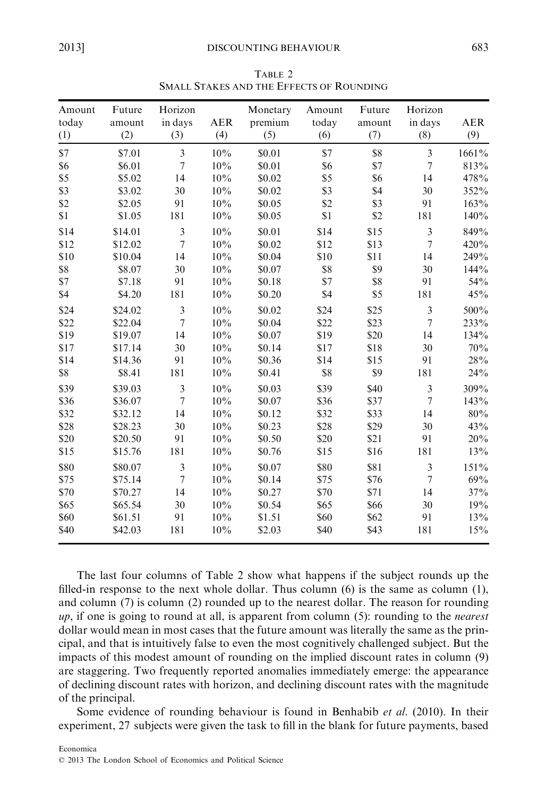| Amount<br>today<br>(1) | Future<br>amount<br>(2) | Horizon<br>in days<br>(3) | <b>AER</b><br>(4) | Monetary<br>premium<br>(5) | Amount<br>today<br>(6) | Future<br>amount<br>(7) | Horizon<br>in days<br>(8) | <b>AER</b><br>(9) |
|------------------------|-------------------------|---------------------------|-------------------|----------------------------|------------------------|-------------------------|---------------------------|-------------------|
|                        |                         |                           |                   |                            |                        |                         |                           |                   |
| \$7                    | \$7.01                  | $\overline{3}$            | 10%               | \$0.01                     | \$7                    | \$8                     | $\overline{3}$            | 1661%             |
| \$6                    | \$6.01                  | $\overline{7}$            | 10%               | \$0.01                     | \$6                    | \$7                     | $\overline{7}$            | 813%              |
| \$5                    | \$5.02                  | 14                        | 10%               | \$0.02                     | \$5                    | \$6                     | 14                        | 478%              |
| \$3                    | \$3.02                  | 30                        | 10%               | \$0.02                     | \$3                    | \$4                     | 30                        | 352%              |
| \$2                    | \$2.05                  | 91                        | 10%               | \$0.05                     | \$2                    | \$3                     | 91                        | 163%              |
| \$1                    | \$1.05                  | 181                       | $10\%$            | \$0.05                     | \$1                    | \$2                     | 181                       | 140%              |
| \$14                   | \$14.01                 | $\overline{3}$            | 10%               | \$0.01                     | \$14                   | \$15                    | 3                         | 849%              |
| \$12                   | \$12.02                 | $\overline{7}$            | $10\%$            | \$0.02                     | \$12                   | \$13                    | $\overline{7}$            | 420%              |
| \$10                   | \$10.04                 | 14                        | 10%               | \$0.04                     | \$10                   | \$11                    | 14                        | 249%              |
| $\$8$                  | \$8.07                  | 30                        | 10%               | \$0.07                     | \$8                    | \$9                     | 30                        | 144%              |
| \$7                    | \$7.18                  | 91                        | 10%               | \$0.18                     | \$7                    | \$8                     | 91                        | 54%               |
| \$4                    | \$4.20                  | 181                       | $10\%$            | \$0.20                     | \$4                    | \$5                     | 181                       | 45%               |
| \$24                   | \$24.02                 | $\overline{3}$            | 10%               | \$0.02                     | \$24                   | \$25                    | 3                         | 500%              |
| \$22                   | \$22.04                 | $\overline{7}$            | 10%               | \$0.04                     | \$22                   | \$23                    | $\overline{7}$            | 233%              |
| \$19                   | \$19.07                 | 14                        | 10%               | \$0.07                     | \$19                   | \$20                    | 14                        | 134%              |
| \$17                   | \$17.14                 | 30                        | 10%               | \$0.14                     | \$17                   | \$18                    | 30                        | 70%               |
| \$14                   | \$14.36                 | 91                        | 10%               | \$0.36                     | \$14                   | \$15                    | 91                        | 28%               |
| \$8                    | \$8.41                  | 181                       | 10%               | \$0.41                     | \$8                    | \$9                     | 181                       | 24%               |
| \$39                   | \$39.03                 | $\overline{3}$            | 10%               | \$0.03                     | \$39                   | \$40                    | 3                         | 309%              |
| \$36                   | \$36.07                 | $\overline{7}$            | 10%               | \$0.07                     | \$36                   | \$37                    | $\overline{7}$            | 143%              |
| \$32                   | \$32.12                 | 14                        | 10%               | \$0.12                     | \$32                   | \$33                    | 14                        | 80%               |
| \$28                   | \$28.23                 | 30                        | 10%               | \$0.23                     | \$28                   | \$29                    | 30                        | 43%               |
| \$20                   | \$20.50                 | 91                        | 10%               | \$0.50                     | \$20                   | \$21                    | 91                        | 20%               |
| \$15                   | \$15.76                 | 181                       | $10\%$            | \$0.76                     | \$15                   | \$16                    | 181                       | 13%               |
| \$80                   | \$80.07                 | $\overline{3}$            | 10%               | \$0.07                     | \$80                   | \$81                    | 3                         | 151%              |
| \$75                   | \$75.14                 | $\overline{7}$            | 10%               | \$0.14                     | \$75                   | \$76                    | 7                         | 69%               |
| \$70                   | \$70.27                 | 14                        | $10\%$            | \$0.27                     | \$70                   | \$71                    | 14                        | 37%               |
| \$65                   | \$65.54                 | 30                        | 10%               | \$0.54                     | \$65                   | \$66                    | 30                        | 19%               |
| \$60                   | \$61.51                 | 91                        | 10%               | \$1.51                     | \$60                   | \$62                    | 91                        | 13%               |
| \$40                   | \$42.03                 | 181                       | $10\%$            | \$2.03                     | \$40                   | \$43                    | 181                       | 15%               |

TABLE 2 SMALL STAKES AND THE EFFECTS OF ROUNDING

The last four columns of Table 2 show what happens if the subject rounds up the filled-in response to the next whole dollar. Thus column (6) is the same as column (1), and column (7) is column (2) rounded up to the nearest dollar. The reason for rounding  $up$ , if one is going to round at all, is apparent from column (5): rounding to the *nearest* dollar would mean in most cases that the future amount was literally the same as the principal, and that is intuitively false to even the most cognitively challenged subject. But the impacts of this modest amount of rounding on the implied discount rates in column (9) are staggering. Two frequently reported anomalies immediately emerge: the appearance of declining discount rates with horizon, and declining discount rates with the magnitude of the principal.

Some evidence of rounding behaviour is found in Benhabib et al. (2010). In their experiment, 27 subjects were given the task to fill in the blank for future payments, based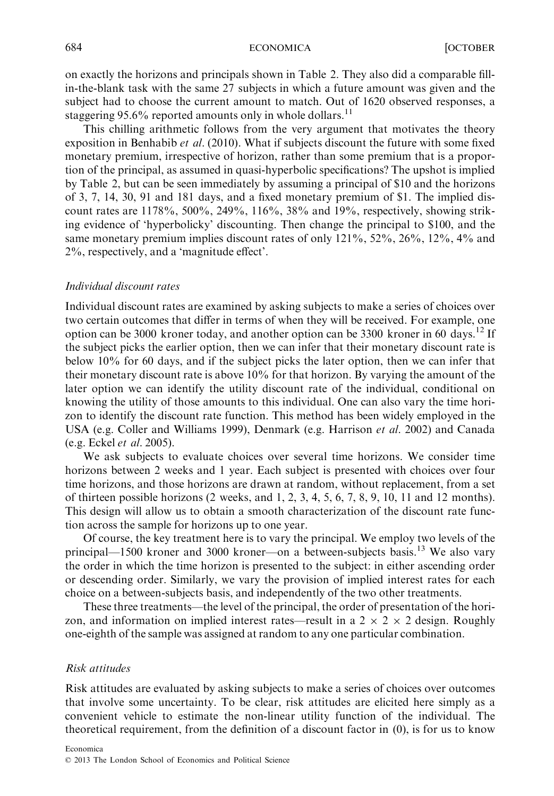684 ECONOMICA [OCTOBER

on exactly the horizons and principals shown in Table 2. They also did a comparable fillin-the-blank task with the same 27 subjects in which a future amount was given and the subject had to choose the current amount to match. Out of 1620 observed responses, a staggering 95.6% reported amounts only in whole dollars.<sup>11</sup>

This chilling arithmetic follows from the very argument that motivates the theory exposition in Benhabib et al. (2010). What if subjects discount the future with some fixed monetary premium, irrespective of horizon, rather than some premium that is a proportion of the principal, as assumed in quasi-hyperbolic specifications? The upshot is implied by Table 2, but can be seen immediately by assuming a principal of \$10 and the horizons of 3, 7, 14, 30, 91 and 181 days, and a fixed monetary premium of \$1. The implied discount rates are 1178%, 500%, 249%, 116%, 38% and 19%, respectively, showing striking evidence of 'hyperbolicky' discounting. Then change the principal to \$100, and the same monetary premium implies discount rates of only 121%, 52%, 26%, 12%, 4% and 2%, respectively, and a 'magnitude effect'.

#### Individual discount rates

Individual discount rates are examined by asking subjects to make a series of choices over two certain outcomes that differ in terms of when they will be received. For example, one option can be 3000 kroner today, and another option can be 3300 kroner in 60 days.<sup>12</sup> If the subject picks the earlier option, then we can infer that their monetary discount rate is below 10% for 60 days, and if the subject picks the later option, then we can infer that their monetary discount rate is above 10% for that horizon. By varying the amount of the later option we can identify the utility discount rate of the individual, conditional on knowing the utility of those amounts to this individual. One can also vary the time horizon to identify the discount rate function. This method has been widely employed in the USA (e.g. Coller and Williams 1999), Denmark (e.g. Harrison et al. 2002) and Canada (e.g. Eckel et al. 2005).

We ask subjects to evaluate choices over several time horizons. We consider time horizons between 2 weeks and 1 year. Each subject is presented with choices over four time horizons, and those horizons are drawn at random, without replacement, from a set of thirteen possible horizons (2 weeks, and 1, 2, 3, 4, 5, 6, 7, 8, 9, 10, 11 and 12 months). This design will allow us to obtain a smooth characterization of the discount rate function across the sample for horizons up to one year.

Of course, the key treatment here is to vary the principal. We employ two levels of the principal—1500 kroner and 3000 kroner—on a between-subjects basis.13 We also vary the order in which the time horizon is presented to the subject: in either ascending order or descending order. Similarly, we vary the provision of implied interest rates for each choice on a between-subjects basis, and independently of the two other treatments.

These three treatments—the level of the principal, the order of presentation of the horizon, and information on implied interest rates—result in a  $2 \times 2 \times 2$  design. Roughly one-eighth of the sample was assigned at random to any one particular combination.

# Risk attitudes

Risk attitudes are evaluated by asking subjects to make a series of choices over outcomes that involve some uncertainty. To be clear, risk attitudes are elicited here simply as a convenient vehicle to estimate the non-linear utility function of the individual. The theoretical requirement, from the definition of a discount factor in (0), is for us to know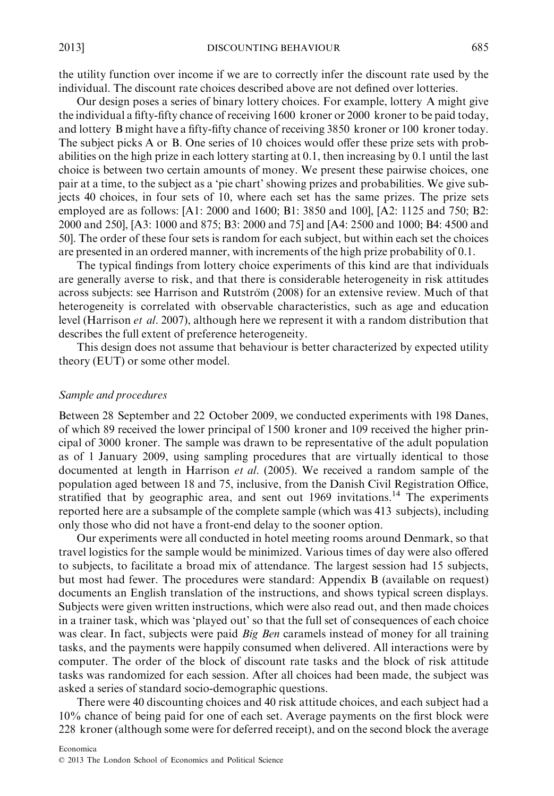the utility function over income if we are to correctly infer the discount rate used by the individual. The discount rate choices described above are not defined over lotteries.

Our design poses a series of binary lottery choices. For example, lottery A might give the individual a fifty-fifty chance of receiving 1600 kroner or 2000 kroner to be paid today, and lottery B might have a fifty-fifty chance of receiving 3850 kroner or 100 kroner today. The subject picks A or B. One series of 10 choices would offer these prize sets with probabilities on the high prize in each lottery starting at 0.1, then increasing by 0.1 until the last choice is between two certain amounts of money. We present these pairwise choices, one pair at a time, to the subject as a 'pie chart' showing prizes and probabilities. We give subjects 40 choices, in four sets of 10, where each set has the same prizes. The prize sets employed are as follows: [A1: 2000 and 1600; B1: 3850 and 100], [A2: 1125 and 750; B2: 2000 and 250], [A3: 1000 and 875; B3: 2000 and 75] and [A4: 2500 and 1000; B4: 4500 and 50]. The order of these four sets is random for each subject, but within each set the choices are presented in an ordered manner, with increments of the high prize probability of 0.1.

The typical findings from lottery choice experiments of this kind are that individuals are generally averse to risk, and that there is considerable heterogeneity in risk attitudes across subjects: see Harrison and Rutstrom (2008) for an extensive review. Much of that heterogeneity is correlated with observable characteristics, such as age and education level (Harrison et al. 2007), although here we represent it with a random distribution that describes the full extent of preference heterogeneity.

This design does not assume that behaviour is better characterized by expected utility theory (EUT) or some other model.

# Sample and procedures

Between 28 September and 22 October 2009, we conducted experiments with 198 Danes, of which 89 received the lower principal of 1500 kroner and 109 received the higher principal of 3000 kroner. The sample was drawn to be representative of the adult population as of 1 January 2009, using sampling procedures that are virtually identical to those documented at length in Harrison et al. (2005). We received a random sample of the population aged between 18 and 75, inclusive, from the Danish Civil Registration Office, stratified that by geographic area, and sent out  $1969$  invitations.<sup>14</sup> The experiments reported here are a subsample of the complete sample (which was 413 subjects), including only those who did not have a front-end delay to the sooner option.

Our experiments were all conducted in hotel meeting rooms around Denmark, so that travel logistics for the sample would be minimized. Various times of day were also offered to subjects, to facilitate a broad mix of attendance. The largest session had 15 subjects, but most had fewer. The procedures were standard: Appendix B (available on request) documents an English translation of the instructions, and shows typical screen displays. Subjects were given written instructions, which were also read out, and then made choices in a trainer task, which was 'played out' so that the full set of consequences of each choice was clear. In fact, subjects were paid *Big Ben* caramels instead of money for all training tasks, and the payments were happily consumed when delivered. All interactions were by computer. The order of the block of discount rate tasks and the block of risk attitude tasks was randomized for each session. After all choices had been made, the subject was asked a series of standard socio-demographic questions.

There were 40 discounting choices and 40 risk attitude choices, and each subject had a 10% chance of being paid for one of each set. Average payments on the first block were 228 kroner (although some were for deferred receipt), and on the second block the average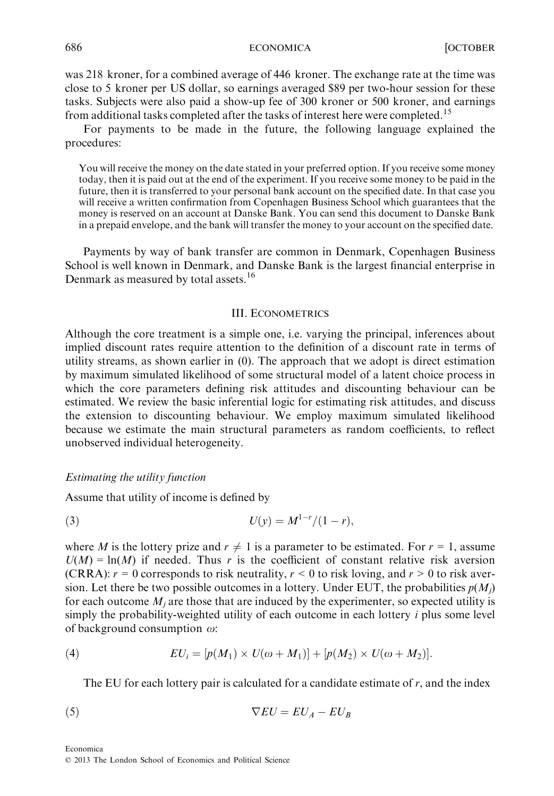was 218 kroner, for a combined average of 446 kroner. The exchange rate at the time was close to 5 kroner per US dollar, so earnings averaged \$89 per two-hour session for these tasks. Subjects were also paid a show-up fee of 300 kroner or 500 kroner, and earnings from additional tasks completed after the tasks of interest here were completed.<sup>15</sup>

For payments to be made in the future, the following language explained the procedures:

You will receive the money on the date stated in your preferred option. If you receive some money today, then it is paid out at the end of the experiment. If you receive some money to be paid in the future, then it is transferred to your personal bank account on the specified date. In that case you will receive a written confirmation from Copenhagen Business School which guarantees that the money is reserved on an account at Danske Bank. You can send this document to Danske Bank in a prepaid envelope, and the bank will transfer the money to your account on the specified date.

Payments by way of bank transfer are common in Denmark, Copenhagen Business School is well known in Denmark, and Danske Bank is the largest financial enterprise in Denmark as measured by total assets.<sup>16</sup>

#### III. ECONOMETRICS

Although the core treatment is a simple one, i.e. varying the principal, inferences about implied discount rates require attention to the definition of a discount rate in terms of utility streams, as shown earlier in (0). The approach that we adopt is direct estimation by maximum simulated likelihood of some structural model of a latent choice process in which the core parameters defining risk attitudes and discounting behaviour can be estimated. We review the basic inferential logic for estimating risk attitudes, and discuss the extension to discounting behaviour. We employ maximum simulated likelihood because we estimate the main structural parameters as random coefficients, to reflect unobserved individual heterogeneity.

#### Estimating the utility function

Assume that utility of income is defined by

(3) 
$$
U(y) = M^{1-r}/(1-r),
$$

where M is the lottery prize and  $r \neq 1$  is a parameter to be estimated. For  $r = 1$ , assume  $U(M) = \ln(M)$  if needed. Thus r is the coefficient of constant relative risk aversion (CRRA):  $r = 0$  corresponds to risk neutrality,  $r < 0$  to risk loving, and  $r > 0$  to risk aversion. Let there be two possible outcomes in a lottery. Under EUT, the probabilities  $p(M_i)$ for each outcome  $M_i$  are those that are induced by the experimenter, so expected utility is simply the probability-weighted utility of each outcome in each lottery  $i$  plus some level of background consumption  $\omega$ :

(4) 
$$
EU_i = [p(M_1) \times U(\omega + M_1)] + [p(M_2) \times U(\omega + M_2)].
$$

The EU for each lottery pair is calculated for a candidate estimate of  $r$ , and the index

$$
\nabla EU = EU_A - EU_B
$$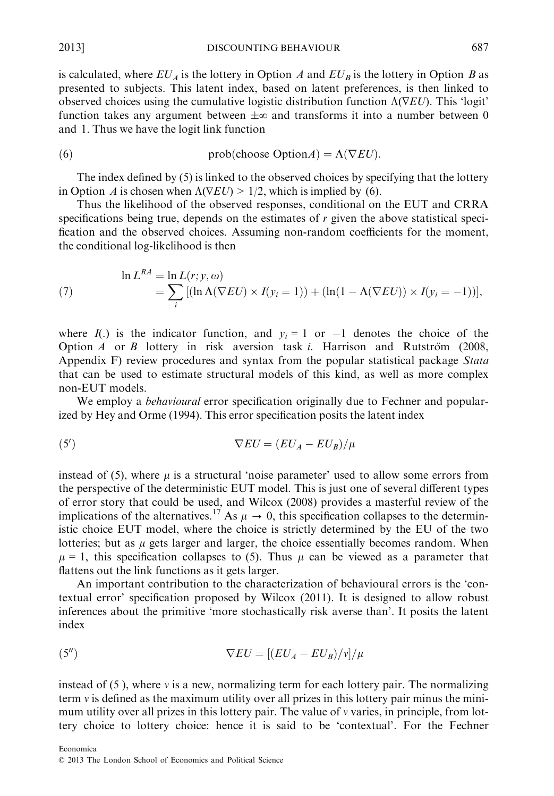is calculated, where  $EU_A$  is the lottery in Option A and  $EU_B$  is the lottery in Option B as presented to subjects. This latent index, based on latent preferences, is then linked to observed choices using the cumulative logistic distribution function  $\Lambda(\nabla EU)$ . This 'logit' function takes any argument between  $\pm \infty$  and transforms it into a number between 0 and 1. Thus we have the logit link function

(6) 
$$
prob(choose Option A) = \Lambda(\nabla EU).
$$

The index defined by (5) is linked to the observed choices by specifying that the lottery in Option A is chosen when  $\Lambda(\nabla EU) > 1/2$ , which is implied by (6).

Thus the likelihood of the observed responses, conditional on the EUT and CRRA specifications being true, depends on the estimates of  $r$  given the above statistical specification and the observed choices. Assuming non-random coefficients for the moment, the conditional log-likelihood is then

(7) 
$$
\ln L^{RA} = \ln L(r; y, \omega)
$$

$$
= \sum_{i} \left[ (\ln \Lambda(\nabla EU) \times I(y_i = 1)) + (\ln(1 - \Lambda(\nabla EU)) \times I(y_i = -1)) \right],
$$

where  $I(.)$  is the indicator function, and  $y_i = 1$  or  $-1$  denotes the choice of the Option  $A$  or  $B$  lottery in risk aversion task i. Harrison and Rutström (2008, Appendix F) review procedures and syntax from the popular statistical package Stata that can be used to estimate structural models of this kind, as well as more complex non-EUT models.

We employ a *behavioural* error specification originally due to Fechner and popularized by Hey and Orme (1994). This error specification posits the latent index

(5') 
$$
\nabla EU = (EU_A - EU_B)/\mu
$$

instead of (5), where  $\mu$  is a structural 'noise parameter' used to allow some errors from the perspective of the deterministic EUT model. This is just one of several different types of error story that could be used, and Wilcox (2008) provides a masterful review of the implications of the alternatives.<sup>17</sup> As  $\mu \to 0$ , this specification collapses to the deterministic choice EUT model, where the choice is strictly determined by the EU of the two lotteries; but as  $\mu$  gets larger and larger, the choice essentially becomes random. When  $\mu = 1$ , this specification collapses to (5). Thus  $\mu$  can be viewed as a parameter that flattens out the link functions as it gets larger.

An important contribution to the characterization of behavioural errors is the 'contextual error' specification proposed by Wilcox (2011). It is designed to allow robust inferences about the primitive 'more stochastically risk averse than'. It posits the latent index

(5") 
$$
\nabla EU = [(EU_A - EU_B)/v] / \mu
$$

instead of  $(5)$ , where v is a new, normalizing term for each lottery pair. The normalizing term  $\nu$  is defined as the maximum utility over all prizes in this lottery pair minus the minimum utility over all prizes in this lottery pair. The value of  $\nu$  varies, in principle, from lottery choice to lottery choice: hence it is said to be 'contextual'. For the Fechner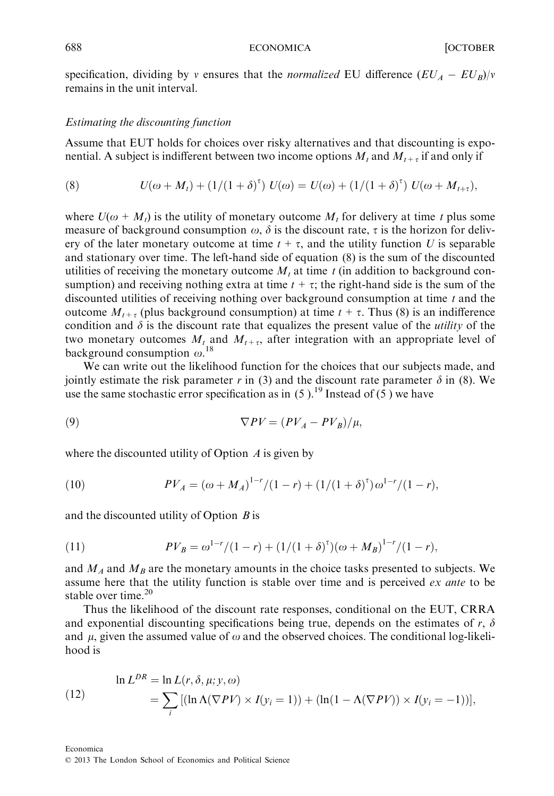specification, dividing by v ensures that the *normalized* EU difference  $(EU_A - EU_B)/v$ remains in the unit interval.

# Estimating the discounting function

Assume that EUT holds for choices over risky alternatives and that discounting is exponential. A subject is indifferent between two income options  $M_t$  and  $M_{t+\tau}$  if and only if

(8) 
$$
U(\omega + M_t) + (1/(1+\delta)^{\tau}) U(\omega) = U(\omega) + (1/(1+\delta)^{\tau}) U(\omega + M_{t+\tau}),
$$

where  $U(\omega + M_t)$  is the utility of monetary outcome  $M_t$  for delivery at time t plus some measure of background consumption  $\omega$ ,  $\delta$  is the discount rate,  $\tau$  is the horizon for delivery of the later monetary outcome at time  $t + \tau$ , and the utility function U is separable and stationary over time. The left-hand side of equation (8) is the sum of the discounted utilities of receiving the monetary outcome  $M_t$  at time t (in addition to background consumption) and receiving nothing extra at time  $t + \tau$ ; the right-hand side is the sum of the discounted utilities of receiving nothing over background consumption at time  $t$  and the outcome  $M_{t+\tau}$  (plus background consumption) at time  $t + \tau$ . Thus (8) is an indifference condition and  $\delta$  is the discount rate that equalizes the present value of the *utility* of the two monetary outcomes  $M_t$  and  $M_{t+\tau}$ , after integration with an appropriate level of background consumption  $\omega$ .<sup>18</sup>

We can write out the likelihood function for the choices that our subjects made, and jointly estimate the risk parameter r in (3) and the discount rate parameter  $\delta$  in (8). We use the same stochastic error specification as in  $(5)$ .<sup>19</sup> Instead of (5) we have

(9) 
$$
\nabla P V = (P V_A - P V_B) / \mu,
$$

where the discounted utility of Option  $A$  is given by

(10) 
$$
PV_A = (\omega + M_A)^{1-r} / (1-r) + (1/(1+\delta)^{\tau}) \omega^{1-r} / (1-r),
$$

and the discounted utility of Option  $B$  is

(11) 
$$
PV_B = \omega^{1-r}/(1-r) + (1/(1+\delta)^{\tau})(\omega + M_B)^{1-r}/(1-r),
$$

and  $M_A$  and  $M_B$  are the monetary amounts in the choice tasks presented to subjects. We assume here that the utility function is stable over time and is perceived ex ante to be stable over time.<sup>20</sup>

Thus the likelihood of the discount rate responses, conditional on the EUT, CRRA and exponential discounting specifications being true, depends on the estimates of r,  $\delta$ and  $\mu$ , given the assumed value of  $\omega$  and the observed choices. The conditional log-likelihood is

(12) 
$$
\ln L^{DR} = \ln L(r, \delta, \mu; y, \omega)
$$

$$
= \sum_{i} \left[ (\ln \Lambda(\nabla P V) \times I(y_i = 1)) + (\ln(1 - \Lambda(\nabla P V)) \times I(y_i = -1)) \right],
$$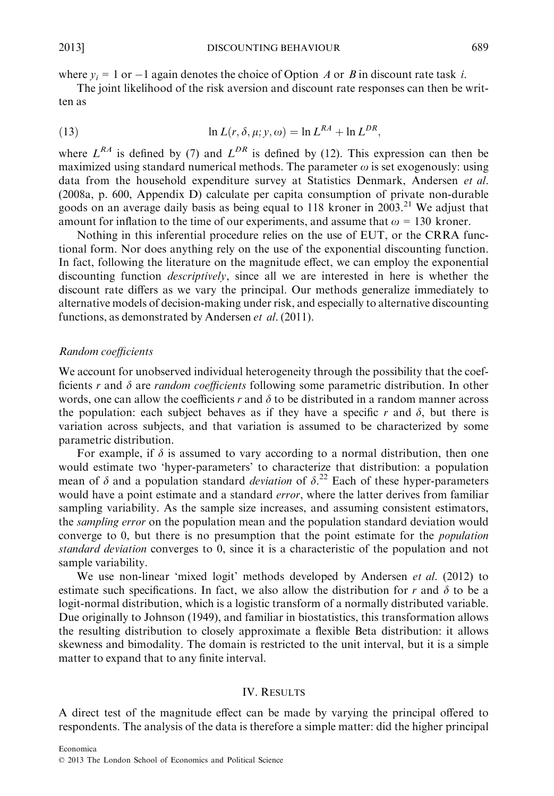where  $y_i = 1$  or  $-1$  again denotes the choice of Option A or B in discount rate task i.

The joint likelihood of the risk aversion and discount rate responses can then be written as

(13) 
$$
\ln L(r, \delta, \mu; y, \omega) = \ln L^{RA} + \ln L^{DR},
$$

where  $L^{RA}$  is defined by (7) and  $L^{DR}$  is defined by (12). This expression can then be maximized using standard numerical methods. The parameter  $\omega$  is set exogenously: using data from the household expenditure survey at Statistics Denmark, Andersen et al. (2008a, p. 600, Appendix D) calculate per capita consumption of private non-durable goods on an average daily basis as being equal to 118 kroner in  $2003.<sup>21</sup>$  We adjust that amount for inflation to the time of our experiments, and assume that  $\omega = 130$  kroner.

Nothing in this inferential procedure relies on the use of EUT, or the CRRA functional form. Nor does anything rely on the use of the exponential discounting function. In fact, following the literature on the magnitude effect, we can employ the exponential discounting function descriptively, since all we are interested in here is whether the discount rate differs as we vary the principal. Our methods generalize immediately to alternative models of decision-making under risk, and especially to alternative discounting functions, as demonstrated by Andersen et al. (2011).

### Random coefficients

We account for unobserved individual heterogeneity through the possibility that the coefficients r and  $\delta$  are random coefficients following some parametric distribution. In other words, one can allow the coefficients r and  $\delta$  to be distributed in a random manner across the population: each subject behaves as if they have a specific r and  $\delta$ , but there is variation across subjects, and that variation is assumed to be characterized by some parametric distribution.

For example, if  $\delta$  is assumed to vary according to a normal distribution, then one would estimate two 'hyper-parameters' to characterize that distribution: a population mean of  $\delta$  and a population standard *deviation* of  $\delta$ .<sup>22</sup> Each of these hyper-parameters would have a point estimate and a standard *error*, where the latter derives from familiar sampling variability. As the sample size increases, and assuming consistent estimators, the *sampling error* on the population mean and the population standard deviation would converge to 0, but there is no presumption that the point estimate for the population standard deviation converges to 0, since it is a characteristic of the population and not sample variability.

We use non-linear 'mixed logit' methods developed by Andersen *et al.* (2012) to estimate such specifications. In fact, we also allow the distribution for r and  $\delta$  to be a logit-normal distribution, which is a logistic transform of a normally distributed variable. Due originally to Johnson (1949), and familiar in biostatistics, this transformation allows the resulting distribution to closely approximate a flexible Beta distribution: it allows skewness and bimodality. The domain is restricted to the unit interval, but it is a simple matter to expand that to any finite interval.

# IV. RESULTS

A direct test of the magnitude effect can be made by varying the principal offered to respondents. The analysis of the data is therefore a simple matter: did the higher principal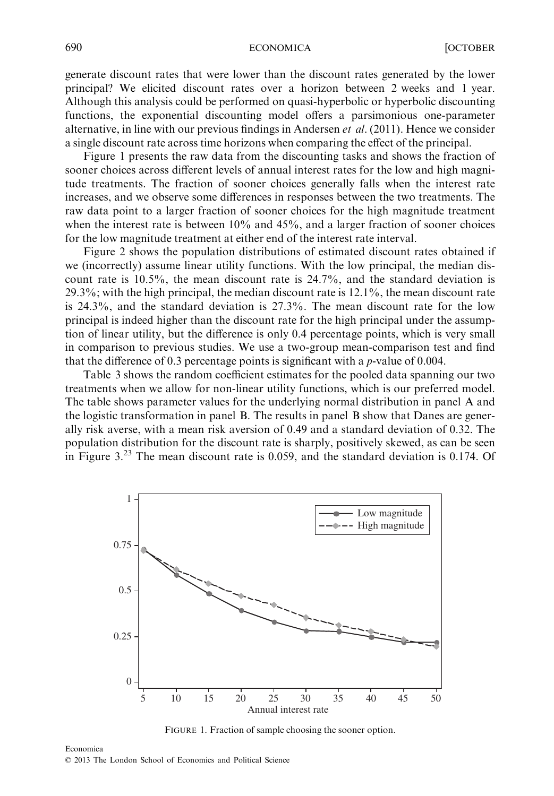#### 690 ECONOMICA [OCTOBER

generate discount rates that were lower than the discount rates generated by the lower principal? We elicited discount rates over a horizon between 2 weeks and 1 year. Although this analysis could be performed on quasi-hyperbolic or hyperbolic discounting functions, the exponential discounting model offers a parsimonious one-parameter alternative, in line with our previous findings in Andersen et al. (2011). Hence we consider a single discount rate across time horizons when comparing the effect of the principal.

Figure 1 presents the raw data from the discounting tasks and shows the fraction of sooner choices across different levels of annual interest rates for the low and high magnitude treatments. The fraction of sooner choices generally falls when the interest rate increases, and we observe some differences in responses between the two treatments. The raw data point to a larger fraction of sooner choices for the high magnitude treatment when the interest rate is between  $10\%$  and  $45\%$ , and a larger fraction of sooner choices for the low magnitude treatment at either end of the interest rate interval.

Figure 2 shows the population distributions of estimated discount rates obtained if we (incorrectly) assume linear utility functions. With the low principal, the median discount rate is 10.5%, the mean discount rate is 24.7%, and the standard deviation is 29.3%; with the high principal, the median discount rate is 12.1%, the mean discount rate is 24.3%, and the standard deviation is 27.3%. The mean discount rate for the low principal is indeed higher than the discount rate for the high principal under the assumption of linear utility, but the difference is only 0.4 percentage points, which is very small in comparison to previous studies. We use a two-group mean-comparison test and find that the difference of 0.3 percentage points is significant with a  $p$ -value of 0.004.

Table 3 shows the random coefficient estimates for the pooled data spanning our two treatments when we allow for non-linear utility functions, which is our preferred model. The table shows parameter values for the underlying normal distribution in panel A and the logistic transformation in panel B. The results in panel B show that Danes are generally risk averse, with a mean risk aversion of 0.49 and a standard deviation of 0.32. The population distribution for the discount rate is sharply, positively skewed, as can be seen in Figure 3.<sup>23</sup> The mean discount rate is 0.059, and the standard deviation is 0.174. Of



FIGURE 1. Fraction of sample choosing the sooner option.

Economica © 2013 The London School of Economics and Political Science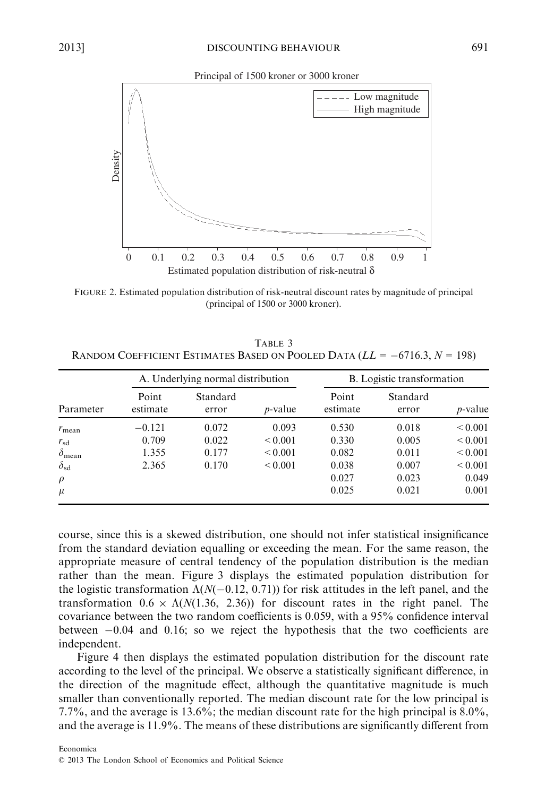Principal of 1500 kroner or 3000 kroner



FIGURE 2. Estimated population distribution of risk-neutral discount rates by magnitude of principal (principal of 1500 or 3000 kroner).

| TABLE 3                                                                          |
|----------------------------------------------------------------------------------|
| RANDOM COEFFICIENT ESTIMATES BASED ON POOLED DATA ( $LL = -6716.3$ , $N = 198$ ) |

| Density                       | $\overline{0}$<br>0.1 | 0.2<br>0.3                        | 0.5<br>0.4<br>0.6                                   | 0.7<br>0.8                                                                                  | 0.9<br>1                                                                                                                                                                                                                                                                                                                                                                                                                                                                                                                                                                                                                                                                                                                                                                                                                                                                                                                                                                                                                                                                                                                                                                                                                              |              |
|-------------------------------|-----------------------|-----------------------------------|-----------------------------------------------------|---------------------------------------------------------------------------------------------|---------------------------------------------------------------------------------------------------------------------------------------------------------------------------------------------------------------------------------------------------------------------------------------------------------------------------------------------------------------------------------------------------------------------------------------------------------------------------------------------------------------------------------------------------------------------------------------------------------------------------------------------------------------------------------------------------------------------------------------------------------------------------------------------------------------------------------------------------------------------------------------------------------------------------------------------------------------------------------------------------------------------------------------------------------------------------------------------------------------------------------------------------------------------------------------------------------------------------------------|--------------|
|                               |                       |                                   | Estimated population distribution of risk-neutral δ |                                                                                             |                                                                                                                                                                                                                                                                                                                                                                                                                                                                                                                                                                                                                                                                                                                                                                                                                                                                                                                                                                                                                                                                                                                                                                                                                                       |              |
|                               |                       |                                   | (principal of 1500 or 3000 kroner).                 |                                                                                             | FIGURE 2. Estimated population distribution of risk-neutral discount rates by magnitude of principal                                                                                                                                                                                                                                                                                                                                                                                                                                                                                                                                                                                                                                                                                                                                                                                                                                                                                                                                                                                                                                                                                                                                  |              |
|                               |                       |                                   | TABLE 3                                             |                                                                                             |                                                                                                                                                                                                                                                                                                                                                                                                                                                                                                                                                                                                                                                                                                                                                                                                                                                                                                                                                                                                                                                                                                                                                                                                                                       |              |
|                               |                       |                                   |                                                     |                                                                                             | RANDOM COEFFICIENT ESTIMATES BASED ON POOLED DATA ( $LL = -6716.3$ , $N = 198$ )                                                                                                                                                                                                                                                                                                                                                                                                                                                                                                                                                                                                                                                                                                                                                                                                                                                                                                                                                                                                                                                                                                                                                      |              |
|                               |                       | A. Underlying normal distribution |                                                     |                                                                                             | B. Logistic transformation                                                                                                                                                                                                                                                                                                                                                                                                                                                                                                                                                                                                                                                                                                                                                                                                                                                                                                                                                                                                                                                                                                                                                                                                            |              |
| Parameter                     | Point<br>estimate     | Standard<br>error                 | <i>p</i> -value                                     | Point<br>estimate                                                                           | Standard<br>error                                                                                                                                                                                                                                                                                                                                                                                                                                                                                                                                                                                                                                                                                                                                                                                                                                                                                                                                                                                                                                                                                                                                                                                                                     | $p$ -value   |
|                               | $-0.121$              | 0.072                             | 0.093                                               | 0.530                                                                                       | 0.018                                                                                                                                                                                                                                                                                                                                                                                                                                                                                                                                                                                                                                                                                                                                                                                                                                                                                                                                                                                                                                                                                                                                                                                                                                 | < 0.001      |
| $r_{\text{mean}}$<br>$r_{sd}$ | 0.709                 | 0.022                             | ${}_{0.001}$                                        | 0.330                                                                                       | 0.005                                                                                                                                                                                                                                                                                                                                                                                                                                                                                                                                                                                                                                                                                                                                                                                                                                                                                                                                                                                                                                                                                                                                                                                                                                 | ${}_{0.001}$ |
| $\delta_{\rm mean}$           | 1.355                 | 0.177                             | ${}_{0.001}$                                        | 0.082                                                                                       | 0.011                                                                                                                                                                                                                                                                                                                                                                                                                                                                                                                                                                                                                                                                                                                                                                                                                                                                                                                                                                                                                                                                                                                                                                                                                                 | ${}_{0.001}$ |
| $\delta_{\rm sd}$             | 2.365                 | 0.170                             | ${}_{\leq 0.001}$                                   | 0.038                                                                                       | 0.007                                                                                                                                                                                                                                                                                                                                                                                                                                                                                                                                                                                                                                                                                                                                                                                                                                                                                                                                                                                                                                                                                                                                                                                                                                 | ${}_{0.001}$ |
| $\rho$                        |                       |                                   |                                                     | 0.027                                                                                       | 0.023                                                                                                                                                                                                                                                                                                                                                                                                                                                                                                                                                                                                                                                                                                                                                                                                                                                                                                                                                                                                                                                                                                                                                                                                                                 | 0.049        |
| $\mu$                         |                       |                                   |                                                     | 0.025                                                                                       | 0.021                                                                                                                                                                                                                                                                                                                                                                                                                                                                                                                                                                                                                                                                                                                                                                                                                                                                                                                                                                                                                                                                                                                                                                                                                                 | 0.001        |
| independent.                  |                       |                                   |                                                     | and the average is 11.9%. The means of these distributions are significantly different from | course, since this is a skewed distribution, one should not infer statistical insignificance<br>from the standard deviation equalling or exceeding the mean. For the same reason, the<br>appropriate measure of central tendency of the population distribution is the median<br>rather than the mean. Figure 3 displays the estimated population distribution for<br>the logistic transformation $\Lambda(N(-0.12, 0.71))$ for risk attitudes in the left panel, and the<br>transformation $0.6 \times \Lambda(N(1.36, 2.36))$ for discount rates in the right panel. The<br>covariance between the two random coefficients is 0.059, with a 95% confidence interval<br>between $-0.04$ and 0.16; so we reject the hypothesis that the two coefficients are<br>Figure 4 then displays the estimated population distribution for the discount rate<br>according to the level of the principal. We observe a statistically significant difference, in<br>the direction of the magnitude effect, although the quantitative magnitude is much<br>smaller than conventionally reported. The median discount rate for the low principal is<br>7.7%, and the average is 13.6%; the median discount rate for the high principal is $8.0\%$ , |              |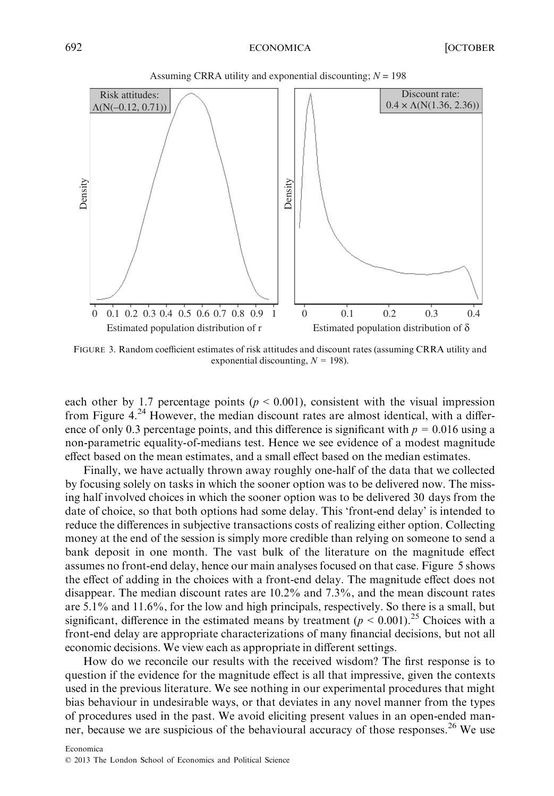# 692 ECONOMICA [OCTOBER



FIGURE 3. Random coefficient estimates of risk attitudes and discount rates (assuming CRRA utility and exponential discounting,  $N = 198$ ).

each other by 1.7 percentage points ( $p < 0.001$ ), consistent with the visual impression from Figure  $4.^{24}$  However, the median discount rates are almost identical, with a difference of only 0.3 percentage points, and this difference is significant with  $p = 0.016$  using a non-parametric equality-of-medians test. Hence we see evidence of a modest magnitude effect based on the mean estimates, and a small effect based on the median estimates.

Finally, we have actually thrown away roughly one-half of the data that we collected by focusing solely on tasks in which the sooner option was to be delivered now. The missing half involved choices in which the sooner option was to be delivered 30 days from the date of choice, so that both options had some delay. This 'front-end delay' is intended to reduce the differences in subjective transactions costs of realizing either option. Collecting money at the end of the session is simply more credible than relying on someone to send a bank deposit in one month. The vast bulk of the literature on the magnitude effect assumes no front-end delay, hence our main analyses focused on that case. Figure 5 shows the effect of adding in the choices with a front-end delay. The magnitude effect does not disappear. The median discount rates are 10.2% and 7.3%, and the mean discount rates are 5.1% and 11.6%, for the low and high principals, respectively. So there is a small, but significant, difference in the estimated means by treatment ( $p < 0.001$ ).<sup>25</sup> Choices with a front-end delay are appropriate characterizations of many financial decisions, but not all economic decisions. We view each as appropriate in different settings. For the control of the state of the state of the behaviour and the control of the behaviour in the behaviour in the behaviour in the behaviour in the behaviour in the behaviour in the behaviour in the behaviour in the beh

How do we reconcile our results with the received wisdom? The first response is to question if the evidence for the magnitude effect is all that impressive, given the contexts used in the previous literature. We see nothing in our experimental procedures that might bias behaviour in undesirable ways, or that deviates in any novel manner from the types of procedures used in the past. We avoid eliciting present values in an open-ended man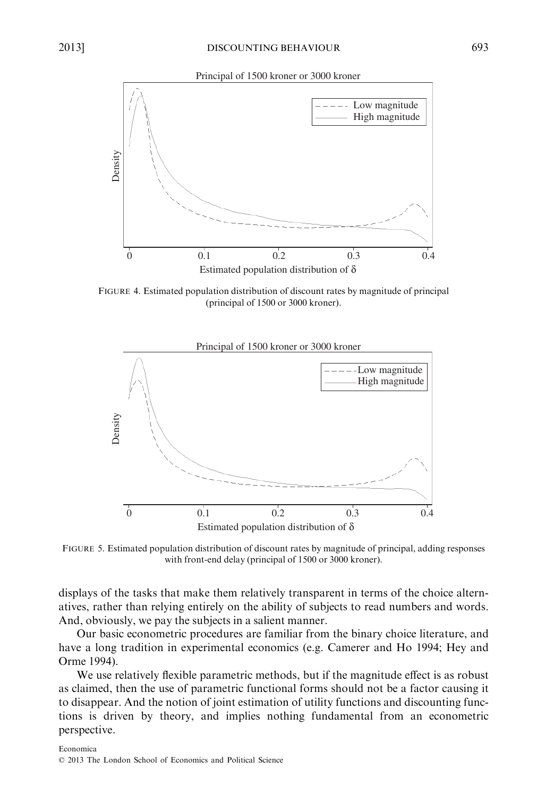Principal of 1500 kroner or 3000 kroner



FIGURE 4. Estimated population distribution of discount rates by magnitude of principal (principal of 1500 or 3000 kroner).



FIGURE 5. Estimated population distribution of discount rates by magnitude of principal, adding responses with front-end delay (principal of 1500 or 3000 kroner).

displays of the tasks that make them relatively transparent in terms of the choice alternatives, rather than relying entirely on the ability of subjects to read numbers and words. And, obviously, we pay the subjects in a salient manner.

Our basic econometric procedures are familiar from the binary choice literature, and have a long tradition in experimental economics (e.g. Camerer and Ho 1994; Hey and Orme 1994).

Exercise<br>
FIGURE 5. Est<br>
displays of the<br>
atives, rather<br>
And, obvious<br>
Our basid<br>
have a long<br>
Orme 1994).<br>
We use ros<br>
as claimed, the<br>
to disappear.<br>
tions is driv<br>
perspective. We use relatively flexible parametric methods, but if the magnitude effect is as robust as claimed, then the use of parametric functional forms should not be a factor causing it to disappear. And the notion of joint estimation of utility functions and discounting functions is driven by theory, and implies nothing fundamental from an econometric perspective.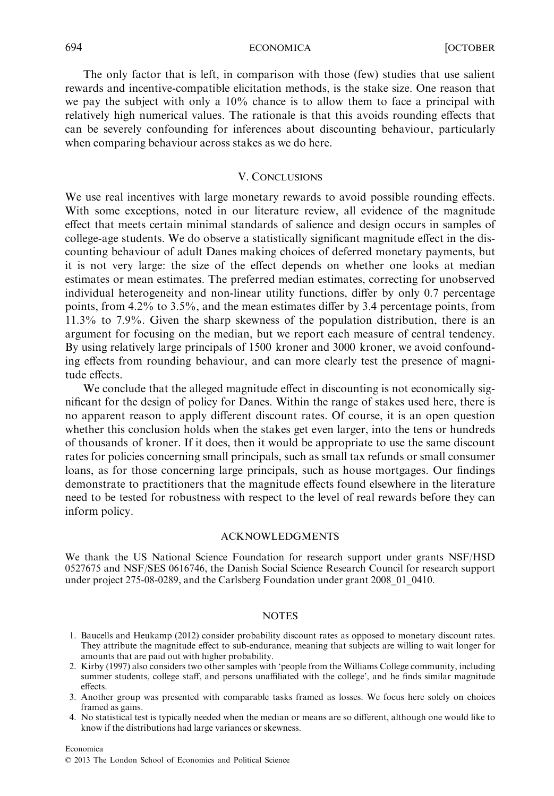694 ECONOMICA [OCTOBER

The only factor that is left, in comparison with those (few) studies that use salient rewards and incentive-compatible elicitation methods, is the stake size. One reason that we pay the subject with only a 10% chance is to allow them to face a principal with relatively high numerical values. The rationale is that this avoids rounding effects that can be severely confounding for inferences about discounting behaviour, particularly when comparing behaviour across stakes as we do here.

# V. CONCLUSIONS

We use real incentives with large monetary rewards to avoid possible rounding effects. With some exceptions, noted in our literature review, all evidence of the magnitude effect that meets certain minimal standards of salience and design occurs in samples of college-age students. We do observe a statistically significant magnitude effect in the discounting behaviour of adult Danes making choices of deferred monetary payments, but it is not very large: the size of the effect depends on whether one looks at median estimates or mean estimates. The preferred median estimates, correcting for unobserved individual heterogeneity and non-linear utility functions, differ by only 0.7 percentage points, from 4.2% to 3.5%, and the mean estimates differ by 3.4 percentage points, from 11.3% to 7.9%. Given the sharp skewness of the population distribution, there is an argument for focusing on the median, but we report each measure of central tendency. By using relatively large principals of 1500 kroner and 3000 kroner, we avoid confounding effects from rounding behaviour, and can more clearly test the presence of magnitude effects.

We conclude that the alleged magnitude effect in discounting is not economically significant for the design of policy for Danes. Within the range of stakes used here, there is no apparent reason to apply different discount rates. Of course, it is an open question whether this conclusion holds when the stakes get even larger, into the tens or hundreds of thousands of kroner. If it does, then it would be appropriate to use the same discount rates for policies concerning small principals, such as small tax refunds or small consumer loans, as for those concerning large principals, such as house mortgages. Our findings demonstrate to practitioners that the magnitude effects found elsewhere in the literature need to be tested for robustness with respect to the level of real rewards before they can inform policy.

#### ACKNOWLEDGMENTS

We thank the US National Science Foundation for research support under grants NSF/HSD 0527675 and NSF/SES 0616746, the Danish Social Science Research Council for research support under project 275-08-0289, and the Carlsberg Foundation under grant 2008 01 0410.

#### **NOTES**

- 1. Baucells and Heukamp (2012) consider probability discount rates as opposed to monetary discount rates. They attribute the magnitude effect to sub-endurance, meaning that subjects are willing to wait longer for amounts that are paid out with higher probability.
- 2. Kirby (1997) also considers two other samples with 'people from the Williams College community, including summer students, college staff, and persons unaffiliated with the college', and he finds similar magnitude effects.
- 3. Another group was presented with comparable tasks framed as losses. We focus here solely on choices framed as gains.
- 4. No statistical test is typically needed when the median or means are so different, although one would like to know if the distributions had large variances or skewness.

Economica © 2013 The London School of Economics and Political Science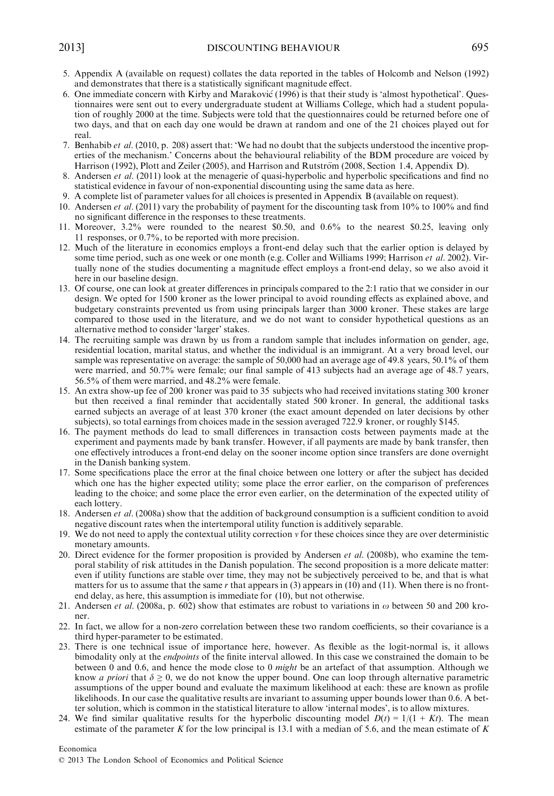- 5. Appendix A (available on request) collates the data reported in the tables of Holcomb and Nelson (1992) and demonstrates that there is a statistically significant magnitude effect.
- 6. One immediate concern with Kirby and Maraković (1996) is that their study is 'almost hypothetical'. Questionnaires were sent out to every undergraduate student at Williams College, which had a student population of roughly 2000 at the time. Subjects were told that the questionnaires could be returned before one of two days, and that on each day one would be drawn at random and one of the 21 choices played out for real.
- 7. Benhabib et al. (2010, p. 208) assert that: 'We had no doubt that the subjects understood the incentive properties of the mechanism.' Concerns about the behavioural reliability of the BDM procedure are voiced by Harrison (1992), Plott and Zeiler (2005), and Harrison and Rutström (2008, Section 1.4, Appendix D).
- 8. Andersen et al. (2011) look at the menagerie of quasi-hyperbolic and hyperbolic specifications and find no statistical evidence in favour of non-exponential discounting using the same data as here.
- 9. A complete list of parameter values for all choices is presented in Appendix B (available on request).
- 10. Andersen et al. (2011) vary the probability of payment for the discounting task from 10% to 100% and find no significant difference in the responses to these treatments.
- 11. Moreover, 3.2% were rounded to the nearest \$0.50, and 0.6% to the nearest \$0.25, leaving only 11 responses, or 0.7%, to be reported with more precision.
- 12. Much of the literature in economics employs a front-end delay such that the earlier option is delayed by some time period, such as one week or one month (e.g. Coller and Williams 1999; Harrison et al. 2002). Virtually none of the studies documenting a magnitude effect employs a front-end delay, so we also avoid it here in our baseline design.
- 13. Of course, one can look at greater differences in principals compared to the 2:1 ratio that we consider in our design. We opted for 1500 kroner as the lower principal to avoid rounding effects as explained above, and budgetary constraints prevented us from using principals larger than 3000 kroner. These stakes are large compared to those used in the literature, and we do not want to consider hypothetical questions as an alternative method to consider 'larger' stakes.
- 14. The recruiting sample was drawn by us from a random sample that includes information on gender, age, residential location, marital status, and whether the individual is an immigrant. At a very broad level, our sample was representative on average: the sample of 50,000 had an average age of 49.8 years, 50.1% of them were married, and 50.7% were female; our final sample of 413 subjects had an average age of 48.7 years, 56.5% of them were married, and 48.2% were female.
- 15. An extra show-up fee of 200 kroner was paid to 35 subjects who had received invitations stating 300 kroner but then received a final reminder that accidentally stated 500 kroner. In general, the additional tasks earned subjects an average of at least 370 kroner (the exact amount depended on later decisions by other subjects), so total earnings from choices made in the session averaged 722.9 kroner, or roughly \$145.
- 16. The payment methods do lead to small differences in transaction costs between payments made at the experiment and payments made by bank transfer. However, if all payments are made by bank transfer, then one effectively introduces a front-end delay on the sooner income option since transfers are done overnight in the Danish banking system.
- 17. Some specifications place the error at the final choice between one lottery or after the subject has decided which one has the higher expected utility; some place the error earlier, on the comparison of preferences leading to the choice; and some place the error even earlier, on the determination of the expected utility of each lottery.
- 18. Andersen et al. (2008a) show that the addition of background consumption is a sufficient condition to avoid negative discount rates when the intertemporal utility function is additively separable.
- 19. We do not need to apply the contextual utility correction  $\nu$  for these choices since they are over deterministic monetary amounts.
- 20. Direct evidence for the former proposition is provided by Andersen et al. (2008b), who examine the temporal stability of risk attitudes in the Danish population. The second proposition is a more delicate matter: even if utility functions are stable over time, they may not be subjectively perceived to be, and that is what matters for us to assume that the same r that appears in (3) appears in (10) and (11). When there is no frontend delay, as here, this assumption is immediate for (10), but not otherwise.
- 21. Andersen *et al.* (2008a, p. 602) show that estimates are robust to variations in  $\omega$  between 50 and 200 kroner.
- 22. In fact, we allow for a non-zero correlation between these two random coefficients, so their covariance is a third hyper-parameter to be estimated.
- 23. There is one technical issue of importance here, however. As flexible as the logit-normal is, it allows bimodality only at the *endpoints* of the finite interval allowed. In this case we constrained the domain to be between 0 and 0.6, and hence the mode close to 0 *might* be an artefact of that assumption. Although we know *a priori* that  $\delta \geq 0$ , we do not know the upper bound. One can loop through alternative parametric assumptions of the upper bound and evaluate the maximum likelihood at each: these are known as profile likelihoods. In our case the qualitative results are invariant to assuming upper bounds lower than 0.6. A better solution, which is common in the statistical literature to allow 'internal modes', is to allow mixtures.
- 24. We find similar qualitative results for the hyperbolic discounting model  $D(t) = 1/(1 + Kt)$ . The mean estimate of the parameter K for the low principal is 13.1 with a median of 5.6, and the mean estimate of K

Economica

<sup>©</sup> 2013 The London School of Economics and Political Science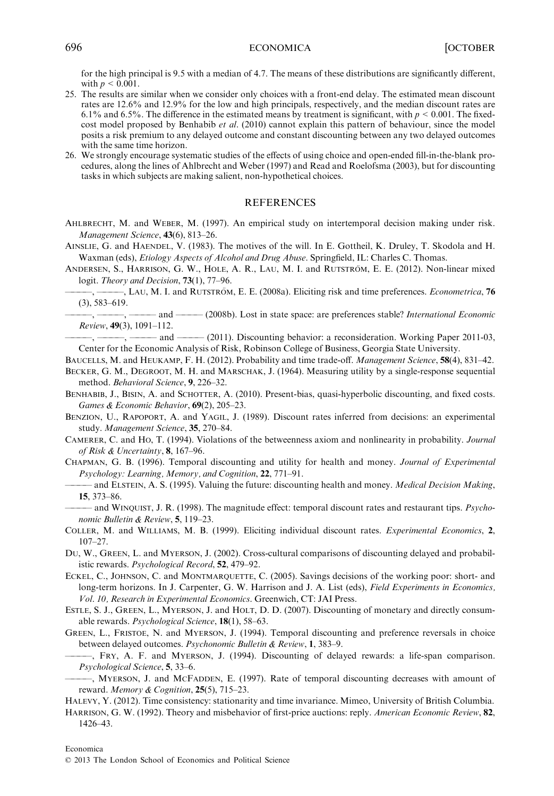for the high principal is 9.5 with a median of 4.7. The means of these distributions are significantly different, with  $p \leq 0.001$ .

- 25. The results are similar when we consider only choices with a front-end delay. The estimated mean discount rates are 12.6% and 12.9% for the low and high principals, respectively, and the median discount rates are 6.1% and 6.5%. The difference in the estimated means by treatment is significant, with  $p \le 0.001$ . The fixedcost model proposed by Benhabib *et al.* (2010) cannot explain this pattern of behaviour, since the model posits a risk premium to any delayed outcome and constant discounting between any two delayed outcomes with the same time horizon.
- 26. We strongly encourage systematic studies of the effects of using choice and open-ended fill-in-the-blank procedures, along the lines of Ahlbrecht and Weber (1997) and Read and Roelofsma (2003), but for discounting tasks in which subjects are making salient, non-hypothetical choices.

# REFERENCES

- AHLBRECHT, M. and WEBER, M. (1997). An empirical study on intertemporal decision making under risk. Management Science, 43(6), 813-26.
- AINSLIE, G. and HAENDEL, V. (1983). The motives of the will. In E. Gottheil, K. Druley, T. Skodola and H. Waxman (eds), Etiology Aspects of Alcohol and Drug Abuse. Springfield, IL: Charles C. Thomas.
- ANDERSEN, S., HARRISON, G. W., HOLE, A. R., LAU, M. I. and RUTSTRÖM, E. E. (2012). Non-linear mixed logit. Theory and Decision, 73(1), 77-96.
- $-$ ,  $-$ , LAU, M. I. and RUTSTROM, E. E. (2008a). Eliciting risk and time preferences. *Econometrica*, 76 (3), 583–619.

— and ————, (2008b). Lost in state space: are preferences stable? *International Economic* Review, 49(3), 1091–112.

-, ------, ------ and ----- (2011). Discounting behavior: a reconsideration. Working Paper 2011-03, Center for the Economic Analysis of Risk, Robinson College of Business, Georgia State University.

- BAUCELLS, M. and HEUKAMP, F. H. (2012). Probability and time trade-off. Management Science, 58(4), 831-42.
- BECKER, G. M., DEGROOT, M. H. and MARSCHAK, J. (1964). Measuring utility by a single-response sequential method. Behavioral Science, 9, 226–32.
- BENHABIB, J., BISIN, A. and SCHOTTER, A. (2010). Present-bias, quasi-hyperbolic discounting, and fixed costs. Games & Economic Behavior, 69(2), 205-23.
- BENZION, U., RAPOPORT, A. and YAGIL, J. (1989). Discount rates inferred from decisions: an experimental study. Management Science, 35, 270–84.
- CAMERER, C. and HO, T. (1994). Violations of the betweenness axiom and nonlinearity in probability. Journal of Risk & Uncertainty, 8, 167–96.
- CHAPMAN, G. B. (1996). Temporal discounting and utility for health and money. Journal of Experimental Psychology: Learning, Memory, and Cognition, 22, 771–91.
- and ELSTEIN, A. S. (1995). Valuing the future: discounting health and money. *Medical Decision Making*, 15, 373–86.

– and WINQUIST, J. R. (1998). The magnitude effect: temporal discount rates and restaurant tips. Psychonomic Bulletin & Review, 5, 119–23.

COLLER, M. and WILLIAMS, M. B. (1999). Eliciting individual discount rates. Experimental Economics, 2, 107–27.

DU, W., GREEN, L. and MYERSON, J. (2002). Cross-cultural comparisons of discounting delayed and probabilistic rewards. Psychological Record, 52, 479–92.

- ECKEL, C., JOHNSON, C. and MONTMARQUETTE, C. (2005). Savings decisions of the working poor: short- and long-term horizons. In J. Carpenter, G. W. Harrison and J. A. List (eds), Field Experiments in Economics, Vol. 10, Research in Experimental Economics. Greenwich, CT: JAI Press.
- ESTLE, S. J., GREEN, L., MYERSON, J. and HOLT, D. D. (2007). Discounting of monetary and directly consumable rewards. Psychological Science, 18(1), 58–63.
- GREEN, L., FRISTOE, N. and MYERSON, J. (1994). Temporal discounting and preference reversals in choice between delayed outcomes. Psychonomic Bulletin & Review, 1, 383–9.
- ————, FRY, A. F. and MYERSON, J. (1994). Discounting of delayed rewards: a life-span comparison. Psychological Science, 5, 33–6.
- ————, MYERSON, J. and MCFADDEN, E. (1997). Rate of temporal discounting decreases with amount of reward. Memory & Cognition, 25(5), 715–23.
- HALEVY, Y. (2012). Time consistency: stationarity and time invariance. Mimeo, University of British Columbia.
- HARRISON, G. W. (1992). Theory and misbehavior of first-price auctions: reply. American Economic Review, 82, 1426–43.

Economica